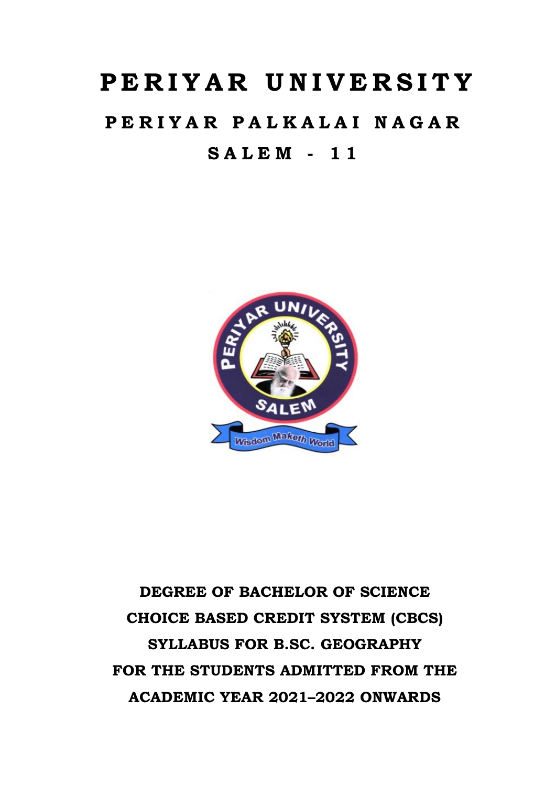# **P E R I Y A R U N I V E R S I T Y**

## **P E R I Y A R P A L K A L A I N A G A R S A L E M - 1 1**



## **DEGREE OF BACHELOR OF SCIENCE CHOICE BASED CREDIT SYSTEM (CBCS) SYLLABUS FOR B.SC. GEOGRAPHY FOR THE STUDENTS ADMITTED FROM THE ACADEMIC YEAR 2021–2022 ONWARDS**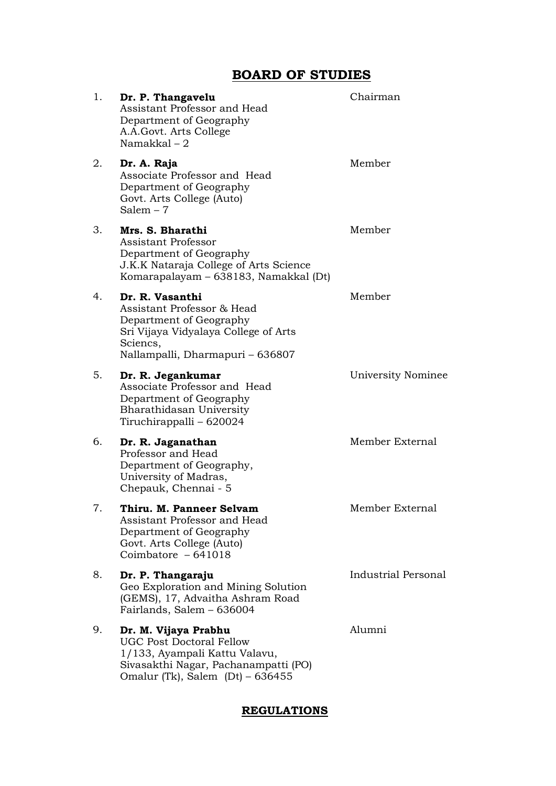## **BOARD OF STUDIES**

| 1. | Dr. P. Thangavelu<br>Assistant Professor and Head<br>Department of Geography<br>A.A. Govt. Arts College<br>Namakkal $-2$                                              | Chairman                   |
|----|-----------------------------------------------------------------------------------------------------------------------------------------------------------------------|----------------------------|
| 2. | Dr. A. Raja<br>Associate Professor and Head<br>Department of Geography<br>Govt. Arts College (Auto)<br>Salem $-7$                                                     | Member                     |
| 3. | Mrs. S. Bharathi<br><b>Assistant Professor</b><br>Department of Geography<br>J.K.K Nataraja College of Arts Science<br>Komarapalayam – 638183, Namakkal (Dt)          | Member                     |
| 4. | Dr. R. Vasanthi<br>Assistant Professor & Head<br>Department of Geography<br>Sri Vijaya Vidyalaya College of Arts<br>Sciencs,<br>Nallampalli, Dharmapuri - 636807      | Member                     |
| 5. | Dr. R. Jegankumar<br>Associate Professor and Head<br>Department of Geography<br>Bharathidasan University<br>Tiruchirappalli – 620024                                  | University Nominee         |
| 6. | Dr. R. Jaganathan<br>Professor and Head<br>Department of Geography,<br>University of Madras,<br>Chepauk, Chennai - 5                                                  | Member External            |
| 7. | Thiru. M. Panneer Selvam<br>Assistant Professor and Head<br>Department of Geography<br>Govt. Arts College (Auto)<br>Coimbatore $-641018$                              | Member External            |
| 8. | Dr. P. Thangaraju<br>Geo Exploration and Mining Solution<br>(GEMS), 17, Advaitha Ashram Road<br>Fairlands, Salem - 636004                                             | <b>Industrial Personal</b> |
| 9. | Dr. M. Vijaya Prabhu<br><b>UGC Post Doctoral Fellow</b><br>1/133, Ayampali Kattu Valavu,<br>Sivasakthi Nagar, Pachanampatti (PO)<br>Omalur (Tk), Salem (Dt) $-636455$ | Alumni                     |

## **REGULATIONS**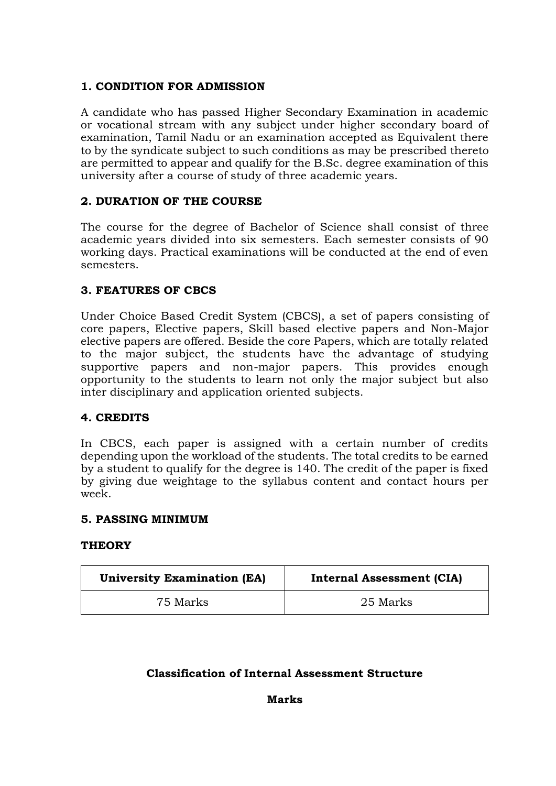## **1. CONDITION FOR ADMISSION**

A candidate who has passed Higher Secondary Examination in academic or vocational stream with any subject under higher secondary board of examination, Tamil Nadu or an examination accepted as Equivalent there to by the syndicate subject to such conditions as may be prescribed thereto are permitted to appear and qualify for the B.Sc. degree examination of this university after a course of study of three academic years.

## **2. DURATION OF THE COURSE**

The course for the degree of Bachelor of Science shall consist of three academic years divided into six semesters. Each semester consists of 90 working days. Practical examinations will be conducted at the end of even semesters.

## **3. FEATURES OF CBCS**

Under Choice Based Credit System (CBCS), a set of papers consisting of core papers, Elective papers, Skill based elective papers and Non-Major elective papers are offered. Beside the core Papers, which are totally related to the major subject, the students have the advantage of studying supportive papers and non-major papers. This provides enough opportunity to the students to learn not only the major subject but also inter disciplinary and application oriented subjects.

## **4. CREDITS**

In CBCS, each paper is assigned with a certain number of credits depending upon the workload of the students. The total credits to be earned by a student to qualify for the degree is 140. The credit of the paper is fixed by giving due weightage to the syllabus content and contact hours per week.

## **5. PASSING MINIMUM**

## **THEORY**

| <b>University Examination (EA)</b> | <b>Internal Assessment (CIA)</b> |
|------------------------------------|----------------------------------|
| 75 Marks                           | 25 Marks                         |

## **Classification of Internal Assessment Structure**

**Marks**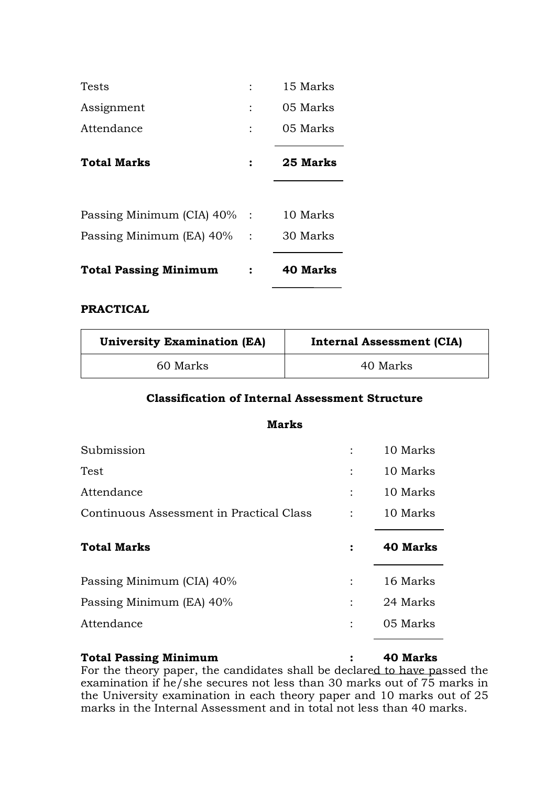| Tests                        | 15 Marks        |
|------------------------------|-----------------|
| Assignment                   | 05 Marks        |
| Attendance                   | 05 Marks        |
| <b>Total Marks</b>           | 25 Marks        |
|                              |                 |
| Passing Minimum (CIA) 40% :  | 10 Marks        |
| Passing Minimum (EA) 40% :   | 30 Marks        |
| <b>Total Passing Minimum</b> | <b>40 Marks</b> |

## **PRACTICAL**

| <b>University Examination (EA)</b> | <b>Internal Assessment (CIA)</b> |
|------------------------------------|----------------------------------|
| 60 Marks                           | 40 Marks                         |

#### **Classification of Internal Assessment Structure**

**Marks**

| Submission                               |                | 10 Marks        |
|------------------------------------------|----------------|-----------------|
| <b>Test</b>                              |                | 10 Marks        |
| Attendance                               | $\ddot{\cdot}$ | 10 Marks        |
| Continuous Assessment in Practical Class | $\ddot{\cdot}$ | 10 Marks        |
| <b>Total Marks</b>                       | :              | <b>40 Marks</b> |
|                                          |                |                 |
| Passing Minimum (CIA) 40%                |                | 16 Marks        |
| Passing Minimum (EA) 40%                 |                | 24 Marks        |
| Attendance                               |                | 05 Marks        |

#### **Total Passing Minimum : 40 Marks**

For the theory paper, the candidates shall be declared to have passed the examination if he/she secures not less than 30 marks out of 75 marks in the University examination in each theory paper and 10 marks out of 25 marks in the Internal Assessment and in total not less than 40 marks.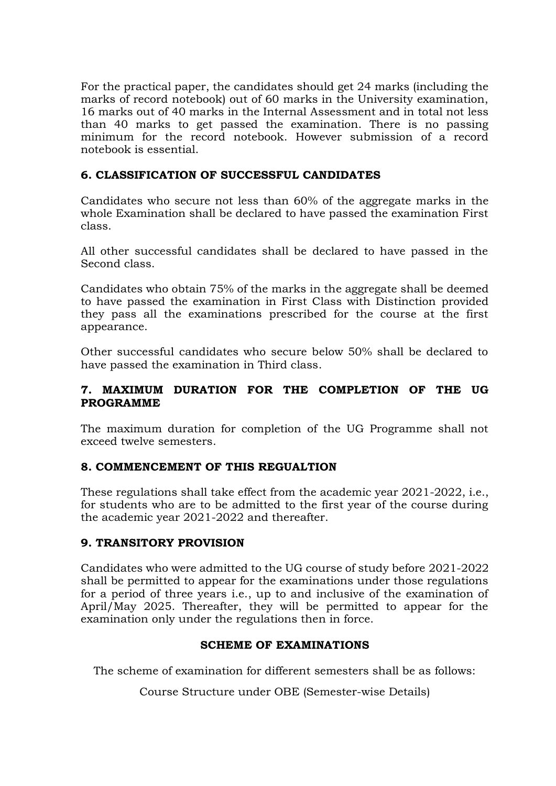For the practical paper, the candidates should get 24 marks (including the marks of record notebook) out of 60 marks in the University examination, 16 marks out of 40 marks in the Internal Assessment and in total not less than 40 marks to get passed the examination. There is no passing minimum for the record notebook. However submission of a record notebook is essential.

## **6. CLASSIFICATION OF SUCCESSFUL CANDIDATES**

Candidates who secure not less than 60% of the aggregate marks in the whole Examination shall be declared to have passed the examination First class.

All other successful candidates shall be declared to have passed in the Second class.

Candidates who obtain 75% of the marks in the aggregate shall be deemed to have passed the examination in First Class with Distinction provided they pass all the examinations prescribed for the course at the first appearance.

Other successful candidates who secure below 50% shall be declared to have passed the examination in Third class.

## **7. MAXIMUM DURATION FOR THE COMPLETION OF THE UG PROGRAMME**

The maximum duration for completion of the UG Programme shall not exceed twelve semesters.

## **8. COMMENCEMENT OF THIS REGUALTION**

These regulations shall take effect from the academic year 2021-2022, i.e., for students who are to be admitted to the first year of the course during the academic year 2021-2022 and thereafter.

## **9. TRANSITORY PROVISION**

Candidates who were admitted to the UG course of study before 2021-2022 shall be permitted to appear for the examinations under those regulations for a period of three years i.e., up to and inclusive of the examination of April/May 2025. Thereafter, they will be permitted to appear for the examination only under the regulations then in force.

## **SCHEME OF EXAMINATIONS**

The scheme of examination for different semesters shall be as follows:

Course Structure under OBE (Semester-wise Details)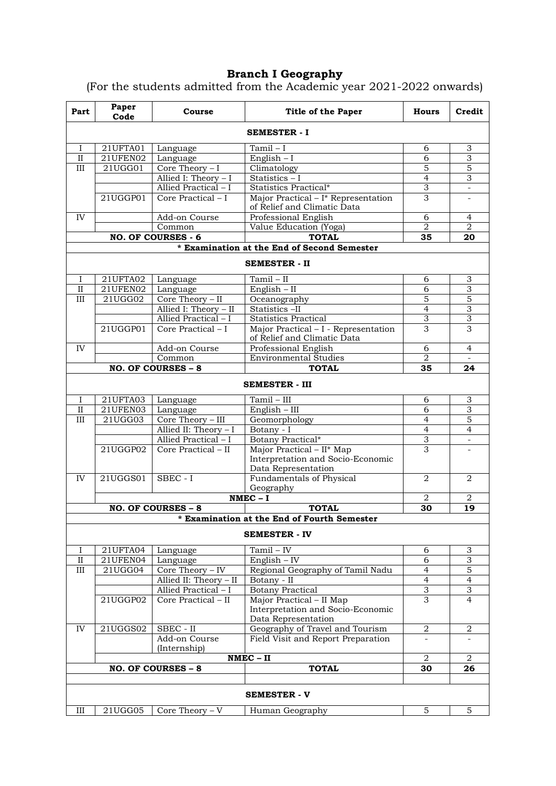#### **Branch I Geography**

(For the students admitted from the Academic year 2021-2022 onwards)

| <b>SEMESTER - I</b><br>21UFTA01<br>Tamil $-I$<br>$\overline{3}$<br>$\bf{I}$<br>Language<br>6<br>3<br>21UFEN02<br>$\mathbf{I}$<br>6<br>English $-I$<br>Language<br>5<br>$\overline{5}$<br>III<br>21UGG01<br>Core Theory $-I$<br>Climatology<br>$\overline{4}$<br>3<br>Allied I: Theory - I<br>Statistics - I<br>3<br>Allied Practical - I<br>Statistics Practical*<br>$\overline{\phantom{a}}$<br>3<br>Core Practical - I<br>Major Practical - I* Representation<br>21UGGP01<br>of Relief and Climatic Data<br>IV<br>Add-on Course<br>Professional English<br>6<br>4<br>$\overline{2}$<br>$\overline{2}$<br>Common<br>Value Education (Yoga)<br><b>NO. OF COURSES - 6</b><br><b>TOTAL</b><br>35<br>20<br>* Examination at the End of Second Semester<br><b>SEMESTER - II</b><br>21UFTA02<br>Tamil - II<br>3<br>Language<br>6<br>I<br>$\overline{3}$<br>$\overline{6}$<br>21UFEN02<br>English - II<br>$\mathbf{I}$<br>Language<br>5<br>Core Theory $-$ II<br>5<br>$\overline{III}$<br>21UGG02<br>Oceanography<br>Allied I: Theory - II<br>$\overline{3}$<br>Statistics -II<br>$\overline{4}$<br>$\overline{3}$<br>$\overline{3}$<br>Allied Practical $-I$<br><b>Statistics Practical</b><br>Core Practical - I<br>Major Practical - I - Representation<br>3<br>3<br>21UGGP01<br>of Relief and Climatic Data<br>Professional English<br>$\overline{4}$<br>IV<br>Add-on Course<br>6<br><b>Environmental Studies</b><br>$\overline{2}$<br>Common<br>$\overline{\phantom{a}}$<br><b>NO. OF COURSES - 8</b><br><b>TOTAL</b><br>35<br>24<br><b>SEMESTER - III</b><br>$Tamil - III$<br>21UFTA03<br>Language<br>3<br>6<br>I<br>3<br>21UFEN03<br>6<br>$\rm II$<br>Language<br>English - III<br>Core Theory - III<br>5<br>21UGG03<br>Geomorphology<br>III<br>$\overline{4}$<br>$\overline{4}$<br>$\overline{4}$<br>Allied II: Theory - I<br>Botany - I<br>$\overline{3}$<br>Allied Practical - I<br>Botany Practical*<br>$\overline{\phantom{0}}$<br>Major Practical - II* Map<br>3<br>21UGGP02<br>Core Practical - II<br>Interpretation and Socio-Economic<br>Data Representation<br>21UGGS01<br>$SBEC - I$<br>Fundamentals of Physical<br>$\overline{2}$<br>IV<br>2<br>Geography<br>$NMEC - I$<br>$\overline{2}$<br>2<br>19<br>NO. OF COURSES - 8<br><b>TOTAL</b><br>30<br>* Examination at the End of Fourth Semester<br><b>SEMESTER - IV</b><br>21UFTA04<br>$Tamil - IV$<br>$\overline{3}$<br>6<br>I<br>Language<br>$\rm II$<br>English $-$ IV<br>3<br>21UFEN04<br>Language<br>6<br>Core Theory $-$ IV<br>Regional Geography of Tamil Nadu<br>5<br>Ш<br>21UGG04<br>4<br>$\overline{4}$<br>$\overline{4}$<br>Allied II: Theory - II<br>Botany - II<br>3<br><b>Botany Practical</b><br>$\overline{3}$<br>Allied Practical - I<br>3<br>21UGGP02<br>Core Practical - II<br>Major Practical - II Map<br>4<br>Interpretation and Socio-Economic<br>Data Representation<br>IV<br>$SBEC - II$<br>Geography of Travel and Tourism<br>$\overline{2}$<br>21UGGS02<br>2<br>Field Visit and Report Preparation<br>Add-on Course<br>(Internship)<br>$NMEC - II$<br>2<br>$\overline{2}$<br><b>TOTAL</b><br>NO. OF COURSES - 8<br>30<br>26<br><b>SEMESTER - V</b><br>21UGG05<br>Core Theory $-V$<br>5<br>5<br>III<br>Human Geography | Part | Paper<br>Code | Course | <b>Title of the Paper</b> | Hours | Credit |
|--------------------------------------------------------------------------------------------------------------------------------------------------------------------------------------------------------------------------------------------------------------------------------------------------------------------------------------------------------------------------------------------------------------------------------------------------------------------------------------------------------------------------------------------------------------------------------------------------------------------------------------------------------------------------------------------------------------------------------------------------------------------------------------------------------------------------------------------------------------------------------------------------------------------------------------------------------------------------------------------------------------------------------------------------------------------------------------------------------------------------------------------------------------------------------------------------------------------------------------------------------------------------------------------------------------------------------------------------------------------------------------------------------------------------------------------------------------------------------------------------------------------------------------------------------------------------------------------------------------------------------------------------------------------------------------------------------------------------------------------------------------------------------------------------------------------------------------------------------------------------------------------------------------------------------------------------------------------------------------------------------------------------------------------------------------------------------------------------------------------------------------------------------------------------------------------------------------------------------------------------------------------------------------------------------------------------------------------------------------------------------------------------------------------------------------------------------------------------------------------------------------------------------------------------------------------------------------------------------------------------------------------------------------------------------------------------------------------------------------------------------------------------------------------------------------------------------------------------------------------------------------------------------------------------------------------------------------------------------------------------------------------------------------------------------------------------------------------------------------------------------------------------------------------------------------------------------------|------|---------------|--------|---------------------------|-------|--------|
|                                                                                                                                                                                                                                                                                                                                                                                                                                                                                                                                                                                                                                                                                                                                                                                                                                                                                                                                                                                                                                                                                                                                                                                                                                                                                                                                                                                                                                                                                                                                                                                                                                                                                                                                                                                                                                                                                                                                                                                                                                                                                                                                                                                                                                                                                                                                                                                                                                                                                                                                                                                                                                                                                                                                                                                                                                                                                                                                                                                                                                                                                                                                                                                                              |      |               |        |                           |       |        |
|                                                                                                                                                                                                                                                                                                                                                                                                                                                                                                                                                                                                                                                                                                                                                                                                                                                                                                                                                                                                                                                                                                                                                                                                                                                                                                                                                                                                                                                                                                                                                                                                                                                                                                                                                                                                                                                                                                                                                                                                                                                                                                                                                                                                                                                                                                                                                                                                                                                                                                                                                                                                                                                                                                                                                                                                                                                                                                                                                                                                                                                                                                                                                                                                              |      |               |        |                           |       |        |
|                                                                                                                                                                                                                                                                                                                                                                                                                                                                                                                                                                                                                                                                                                                                                                                                                                                                                                                                                                                                                                                                                                                                                                                                                                                                                                                                                                                                                                                                                                                                                                                                                                                                                                                                                                                                                                                                                                                                                                                                                                                                                                                                                                                                                                                                                                                                                                                                                                                                                                                                                                                                                                                                                                                                                                                                                                                                                                                                                                                                                                                                                                                                                                                                              |      |               |        |                           |       |        |
|                                                                                                                                                                                                                                                                                                                                                                                                                                                                                                                                                                                                                                                                                                                                                                                                                                                                                                                                                                                                                                                                                                                                                                                                                                                                                                                                                                                                                                                                                                                                                                                                                                                                                                                                                                                                                                                                                                                                                                                                                                                                                                                                                                                                                                                                                                                                                                                                                                                                                                                                                                                                                                                                                                                                                                                                                                                                                                                                                                                                                                                                                                                                                                                                              |      |               |        |                           |       |        |
|                                                                                                                                                                                                                                                                                                                                                                                                                                                                                                                                                                                                                                                                                                                                                                                                                                                                                                                                                                                                                                                                                                                                                                                                                                                                                                                                                                                                                                                                                                                                                                                                                                                                                                                                                                                                                                                                                                                                                                                                                                                                                                                                                                                                                                                                                                                                                                                                                                                                                                                                                                                                                                                                                                                                                                                                                                                                                                                                                                                                                                                                                                                                                                                                              |      |               |        |                           |       |        |
|                                                                                                                                                                                                                                                                                                                                                                                                                                                                                                                                                                                                                                                                                                                                                                                                                                                                                                                                                                                                                                                                                                                                                                                                                                                                                                                                                                                                                                                                                                                                                                                                                                                                                                                                                                                                                                                                                                                                                                                                                                                                                                                                                                                                                                                                                                                                                                                                                                                                                                                                                                                                                                                                                                                                                                                                                                                                                                                                                                                                                                                                                                                                                                                                              |      |               |        |                           |       |        |
|                                                                                                                                                                                                                                                                                                                                                                                                                                                                                                                                                                                                                                                                                                                                                                                                                                                                                                                                                                                                                                                                                                                                                                                                                                                                                                                                                                                                                                                                                                                                                                                                                                                                                                                                                                                                                                                                                                                                                                                                                                                                                                                                                                                                                                                                                                                                                                                                                                                                                                                                                                                                                                                                                                                                                                                                                                                                                                                                                                                                                                                                                                                                                                                                              |      |               |        |                           |       |        |
|                                                                                                                                                                                                                                                                                                                                                                                                                                                                                                                                                                                                                                                                                                                                                                                                                                                                                                                                                                                                                                                                                                                                                                                                                                                                                                                                                                                                                                                                                                                                                                                                                                                                                                                                                                                                                                                                                                                                                                                                                                                                                                                                                                                                                                                                                                                                                                                                                                                                                                                                                                                                                                                                                                                                                                                                                                                                                                                                                                                                                                                                                                                                                                                                              |      |               |        |                           |       |        |
|                                                                                                                                                                                                                                                                                                                                                                                                                                                                                                                                                                                                                                                                                                                                                                                                                                                                                                                                                                                                                                                                                                                                                                                                                                                                                                                                                                                                                                                                                                                                                                                                                                                                                                                                                                                                                                                                                                                                                                                                                                                                                                                                                                                                                                                                                                                                                                                                                                                                                                                                                                                                                                                                                                                                                                                                                                                                                                                                                                                                                                                                                                                                                                                                              |      |               |        |                           |       |        |
|                                                                                                                                                                                                                                                                                                                                                                                                                                                                                                                                                                                                                                                                                                                                                                                                                                                                                                                                                                                                                                                                                                                                                                                                                                                                                                                                                                                                                                                                                                                                                                                                                                                                                                                                                                                                                                                                                                                                                                                                                                                                                                                                                                                                                                                                                                                                                                                                                                                                                                                                                                                                                                                                                                                                                                                                                                                                                                                                                                                                                                                                                                                                                                                                              |      |               |        |                           |       |        |
|                                                                                                                                                                                                                                                                                                                                                                                                                                                                                                                                                                                                                                                                                                                                                                                                                                                                                                                                                                                                                                                                                                                                                                                                                                                                                                                                                                                                                                                                                                                                                                                                                                                                                                                                                                                                                                                                                                                                                                                                                                                                                                                                                                                                                                                                                                                                                                                                                                                                                                                                                                                                                                                                                                                                                                                                                                                                                                                                                                                                                                                                                                                                                                                                              |      |               |        |                           |       |        |
|                                                                                                                                                                                                                                                                                                                                                                                                                                                                                                                                                                                                                                                                                                                                                                                                                                                                                                                                                                                                                                                                                                                                                                                                                                                                                                                                                                                                                                                                                                                                                                                                                                                                                                                                                                                                                                                                                                                                                                                                                                                                                                                                                                                                                                                                                                                                                                                                                                                                                                                                                                                                                                                                                                                                                                                                                                                                                                                                                                                                                                                                                                                                                                                                              |      |               |        |                           |       |        |
|                                                                                                                                                                                                                                                                                                                                                                                                                                                                                                                                                                                                                                                                                                                                                                                                                                                                                                                                                                                                                                                                                                                                                                                                                                                                                                                                                                                                                                                                                                                                                                                                                                                                                                                                                                                                                                                                                                                                                                                                                                                                                                                                                                                                                                                                                                                                                                                                                                                                                                                                                                                                                                                                                                                                                                                                                                                                                                                                                                                                                                                                                                                                                                                                              |      |               |        |                           |       |        |
|                                                                                                                                                                                                                                                                                                                                                                                                                                                                                                                                                                                                                                                                                                                                                                                                                                                                                                                                                                                                                                                                                                                                                                                                                                                                                                                                                                                                                                                                                                                                                                                                                                                                                                                                                                                                                                                                                                                                                                                                                                                                                                                                                                                                                                                                                                                                                                                                                                                                                                                                                                                                                                                                                                                                                                                                                                                                                                                                                                                                                                                                                                                                                                                                              |      |               |        |                           |       |        |
|                                                                                                                                                                                                                                                                                                                                                                                                                                                                                                                                                                                                                                                                                                                                                                                                                                                                                                                                                                                                                                                                                                                                                                                                                                                                                                                                                                                                                                                                                                                                                                                                                                                                                                                                                                                                                                                                                                                                                                                                                                                                                                                                                                                                                                                                                                                                                                                                                                                                                                                                                                                                                                                                                                                                                                                                                                                                                                                                                                                                                                                                                                                                                                                                              |      |               |        |                           |       |        |
|                                                                                                                                                                                                                                                                                                                                                                                                                                                                                                                                                                                                                                                                                                                                                                                                                                                                                                                                                                                                                                                                                                                                                                                                                                                                                                                                                                                                                                                                                                                                                                                                                                                                                                                                                                                                                                                                                                                                                                                                                                                                                                                                                                                                                                                                                                                                                                                                                                                                                                                                                                                                                                                                                                                                                                                                                                                                                                                                                                                                                                                                                                                                                                                                              |      |               |        |                           |       |        |
|                                                                                                                                                                                                                                                                                                                                                                                                                                                                                                                                                                                                                                                                                                                                                                                                                                                                                                                                                                                                                                                                                                                                                                                                                                                                                                                                                                                                                                                                                                                                                                                                                                                                                                                                                                                                                                                                                                                                                                                                                                                                                                                                                                                                                                                                                                                                                                                                                                                                                                                                                                                                                                                                                                                                                                                                                                                                                                                                                                                                                                                                                                                                                                                                              |      |               |        |                           |       |        |
|                                                                                                                                                                                                                                                                                                                                                                                                                                                                                                                                                                                                                                                                                                                                                                                                                                                                                                                                                                                                                                                                                                                                                                                                                                                                                                                                                                                                                                                                                                                                                                                                                                                                                                                                                                                                                                                                                                                                                                                                                                                                                                                                                                                                                                                                                                                                                                                                                                                                                                                                                                                                                                                                                                                                                                                                                                                                                                                                                                                                                                                                                                                                                                                                              |      |               |        |                           |       |        |
|                                                                                                                                                                                                                                                                                                                                                                                                                                                                                                                                                                                                                                                                                                                                                                                                                                                                                                                                                                                                                                                                                                                                                                                                                                                                                                                                                                                                                                                                                                                                                                                                                                                                                                                                                                                                                                                                                                                                                                                                                                                                                                                                                                                                                                                                                                                                                                                                                                                                                                                                                                                                                                                                                                                                                                                                                                                                                                                                                                                                                                                                                                                                                                                                              |      |               |        |                           |       |        |
|                                                                                                                                                                                                                                                                                                                                                                                                                                                                                                                                                                                                                                                                                                                                                                                                                                                                                                                                                                                                                                                                                                                                                                                                                                                                                                                                                                                                                                                                                                                                                                                                                                                                                                                                                                                                                                                                                                                                                                                                                                                                                                                                                                                                                                                                                                                                                                                                                                                                                                                                                                                                                                                                                                                                                                                                                                                                                                                                                                                                                                                                                                                                                                                                              |      |               |        |                           |       |        |
|                                                                                                                                                                                                                                                                                                                                                                                                                                                                                                                                                                                                                                                                                                                                                                                                                                                                                                                                                                                                                                                                                                                                                                                                                                                                                                                                                                                                                                                                                                                                                                                                                                                                                                                                                                                                                                                                                                                                                                                                                                                                                                                                                                                                                                                                                                                                                                                                                                                                                                                                                                                                                                                                                                                                                                                                                                                                                                                                                                                                                                                                                                                                                                                                              |      |               |        |                           |       |        |
|                                                                                                                                                                                                                                                                                                                                                                                                                                                                                                                                                                                                                                                                                                                                                                                                                                                                                                                                                                                                                                                                                                                                                                                                                                                                                                                                                                                                                                                                                                                                                                                                                                                                                                                                                                                                                                                                                                                                                                                                                                                                                                                                                                                                                                                                                                                                                                                                                                                                                                                                                                                                                                                                                                                                                                                                                                                                                                                                                                                                                                                                                                                                                                                                              |      |               |        |                           |       |        |
|                                                                                                                                                                                                                                                                                                                                                                                                                                                                                                                                                                                                                                                                                                                                                                                                                                                                                                                                                                                                                                                                                                                                                                                                                                                                                                                                                                                                                                                                                                                                                                                                                                                                                                                                                                                                                                                                                                                                                                                                                                                                                                                                                                                                                                                                                                                                                                                                                                                                                                                                                                                                                                                                                                                                                                                                                                                                                                                                                                                                                                                                                                                                                                                                              |      |               |        |                           |       |        |
|                                                                                                                                                                                                                                                                                                                                                                                                                                                                                                                                                                                                                                                                                                                                                                                                                                                                                                                                                                                                                                                                                                                                                                                                                                                                                                                                                                                                                                                                                                                                                                                                                                                                                                                                                                                                                                                                                                                                                                                                                                                                                                                                                                                                                                                                                                                                                                                                                                                                                                                                                                                                                                                                                                                                                                                                                                                                                                                                                                                                                                                                                                                                                                                                              |      |               |        |                           |       |        |
|                                                                                                                                                                                                                                                                                                                                                                                                                                                                                                                                                                                                                                                                                                                                                                                                                                                                                                                                                                                                                                                                                                                                                                                                                                                                                                                                                                                                                                                                                                                                                                                                                                                                                                                                                                                                                                                                                                                                                                                                                                                                                                                                                                                                                                                                                                                                                                                                                                                                                                                                                                                                                                                                                                                                                                                                                                                                                                                                                                                                                                                                                                                                                                                                              |      |               |        |                           |       |        |
|                                                                                                                                                                                                                                                                                                                                                                                                                                                                                                                                                                                                                                                                                                                                                                                                                                                                                                                                                                                                                                                                                                                                                                                                                                                                                                                                                                                                                                                                                                                                                                                                                                                                                                                                                                                                                                                                                                                                                                                                                                                                                                                                                                                                                                                                                                                                                                                                                                                                                                                                                                                                                                                                                                                                                                                                                                                                                                                                                                                                                                                                                                                                                                                                              |      |               |        |                           |       |        |
|                                                                                                                                                                                                                                                                                                                                                                                                                                                                                                                                                                                                                                                                                                                                                                                                                                                                                                                                                                                                                                                                                                                                                                                                                                                                                                                                                                                                                                                                                                                                                                                                                                                                                                                                                                                                                                                                                                                                                                                                                                                                                                                                                                                                                                                                                                                                                                                                                                                                                                                                                                                                                                                                                                                                                                                                                                                                                                                                                                                                                                                                                                                                                                                                              |      |               |        |                           |       |        |
|                                                                                                                                                                                                                                                                                                                                                                                                                                                                                                                                                                                                                                                                                                                                                                                                                                                                                                                                                                                                                                                                                                                                                                                                                                                                                                                                                                                                                                                                                                                                                                                                                                                                                                                                                                                                                                                                                                                                                                                                                                                                                                                                                                                                                                                                                                                                                                                                                                                                                                                                                                                                                                                                                                                                                                                                                                                                                                                                                                                                                                                                                                                                                                                                              |      |               |        |                           |       |        |
|                                                                                                                                                                                                                                                                                                                                                                                                                                                                                                                                                                                                                                                                                                                                                                                                                                                                                                                                                                                                                                                                                                                                                                                                                                                                                                                                                                                                                                                                                                                                                                                                                                                                                                                                                                                                                                                                                                                                                                                                                                                                                                                                                                                                                                                                                                                                                                                                                                                                                                                                                                                                                                                                                                                                                                                                                                                                                                                                                                                                                                                                                                                                                                                                              |      |               |        |                           |       |        |
|                                                                                                                                                                                                                                                                                                                                                                                                                                                                                                                                                                                                                                                                                                                                                                                                                                                                                                                                                                                                                                                                                                                                                                                                                                                                                                                                                                                                                                                                                                                                                                                                                                                                                                                                                                                                                                                                                                                                                                                                                                                                                                                                                                                                                                                                                                                                                                                                                                                                                                                                                                                                                                                                                                                                                                                                                                                                                                                                                                                                                                                                                                                                                                                                              |      |               |        |                           |       |        |
|                                                                                                                                                                                                                                                                                                                                                                                                                                                                                                                                                                                                                                                                                                                                                                                                                                                                                                                                                                                                                                                                                                                                                                                                                                                                                                                                                                                                                                                                                                                                                                                                                                                                                                                                                                                                                                                                                                                                                                                                                                                                                                                                                                                                                                                                                                                                                                                                                                                                                                                                                                                                                                                                                                                                                                                                                                                                                                                                                                                                                                                                                                                                                                                                              |      |               |        |                           |       |        |
|                                                                                                                                                                                                                                                                                                                                                                                                                                                                                                                                                                                                                                                                                                                                                                                                                                                                                                                                                                                                                                                                                                                                                                                                                                                                                                                                                                                                                                                                                                                                                                                                                                                                                                                                                                                                                                                                                                                                                                                                                                                                                                                                                                                                                                                                                                                                                                                                                                                                                                                                                                                                                                                                                                                                                                                                                                                                                                                                                                                                                                                                                                                                                                                                              |      |               |        |                           |       |        |
|                                                                                                                                                                                                                                                                                                                                                                                                                                                                                                                                                                                                                                                                                                                                                                                                                                                                                                                                                                                                                                                                                                                                                                                                                                                                                                                                                                                                                                                                                                                                                                                                                                                                                                                                                                                                                                                                                                                                                                                                                                                                                                                                                                                                                                                                                                                                                                                                                                                                                                                                                                                                                                                                                                                                                                                                                                                                                                                                                                                                                                                                                                                                                                                                              |      |               |        |                           |       |        |
|                                                                                                                                                                                                                                                                                                                                                                                                                                                                                                                                                                                                                                                                                                                                                                                                                                                                                                                                                                                                                                                                                                                                                                                                                                                                                                                                                                                                                                                                                                                                                                                                                                                                                                                                                                                                                                                                                                                                                                                                                                                                                                                                                                                                                                                                                                                                                                                                                                                                                                                                                                                                                                                                                                                                                                                                                                                                                                                                                                                                                                                                                                                                                                                                              |      |               |        |                           |       |        |
|                                                                                                                                                                                                                                                                                                                                                                                                                                                                                                                                                                                                                                                                                                                                                                                                                                                                                                                                                                                                                                                                                                                                                                                                                                                                                                                                                                                                                                                                                                                                                                                                                                                                                                                                                                                                                                                                                                                                                                                                                                                                                                                                                                                                                                                                                                                                                                                                                                                                                                                                                                                                                                                                                                                                                                                                                                                                                                                                                                                                                                                                                                                                                                                                              |      |               |        |                           |       |        |
|                                                                                                                                                                                                                                                                                                                                                                                                                                                                                                                                                                                                                                                                                                                                                                                                                                                                                                                                                                                                                                                                                                                                                                                                                                                                                                                                                                                                                                                                                                                                                                                                                                                                                                                                                                                                                                                                                                                                                                                                                                                                                                                                                                                                                                                                                                                                                                                                                                                                                                                                                                                                                                                                                                                                                                                                                                                                                                                                                                                                                                                                                                                                                                                                              |      |               |        |                           |       |        |
|                                                                                                                                                                                                                                                                                                                                                                                                                                                                                                                                                                                                                                                                                                                                                                                                                                                                                                                                                                                                                                                                                                                                                                                                                                                                                                                                                                                                                                                                                                                                                                                                                                                                                                                                                                                                                                                                                                                                                                                                                                                                                                                                                                                                                                                                                                                                                                                                                                                                                                                                                                                                                                                                                                                                                                                                                                                                                                                                                                                                                                                                                                                                                                                                              |      |               |        |                           |       |        |
|                                                                                                                                                                                                                                                                                                                                                                                                                                                                                                                                                                                                                                                                                                                                                                                                                                                                                                                                                                                                                                                                                                                                                                                                                                                                                                                                                                                                                                                                                                                                                                                                                                                                                                                                                                                                                                                                                                                                                                                                                                                                                                                                                                                                                                                                                                                                                                                                                                                                                                                                                                                                                                                                                                                                                                                                                                                                                                                                                                                                                                                                                                                                                                                                              |      |               |        |                           |       |        |
|                                                                                                                                                                                                                                                                                                                                                                                                                                                                                                                                                                                                                                                                                                                                                                                                                                                                                                                                                                                                                                                                                                                                                                                                                                                                                                                                                                                                                                                                                                                                                                                                                                                                                                                                                                                                                                                                                                                                                                                                                                                                                                                                                                                                                                                                                                                                                                                                                                                                                                                                                                                                                                                                                                                                                                                                                                                                                                                                                                                                                                                                                                                                                                                                              |      |               |        |                           |       |        |
|                                                                                                                                                                                                                                                                                                                                                                                                                                                                                                                                                                                                                                                                                                                                                                                                                                                                                                                                                                                                                                                                                                                                                                                                                                                                                                                                                                                                                                                                                                                                                                                                                                                                                                                                                                                                                                                                                                                                                                                                                                                                                                                                                                                                                                                                                                                                                                                                                                                                                                                                                                                                                                                                                                                                                                                                                                                                                                                                                                                                                                                                                                                                                                                                              |      |               |        |                           |       |        |
|                                                                                                                                                                                                                                                                                                                                                                                                                                                                                                                                                                                                                                                                                                                                                                                                                                                                                                                                                                                                                                                                                                                                                                                                                                                                                                                                                                                                                                                                                                                                                                                                                                                                                                                                                                                                                                                                                                                                                                                                                                                                                                                                                                                                                                                                                                                                                                                                                                                                                                                                                                                                                                                                                                                                                                                                                                                                                                                                                                                                                                                                                                                                                                                                              |      |               |        |                           |       |        |
|                                                                                                                                                                                                                                                                                                                                                                                                                                                                                                                                                                                                                                                                                                                                                                                                                                                                                                                                                                                                                                                                                                                                                                                                                                                                                                                                                                                                                                                                                                                                                                                                                                                                                                                                                                                                                                                                                                                                                                                                                                                                                                                                                                                                                                                                                                                                                                                                                                                                                                                                                                                                                                                                                                                                                                                                                                                                                                                                                                                                                                                                                                                                                                                                              |      |               |        |                           |       |        |
|                                                                                                                                                                                                                                                                                                                                                                                                                                                                                                                                                                                                                                                                                                                                                                                                                                                                                                                                                                                                                                                                                                                                                                                                                                                                                                                                                                                                                                                                                                                                                                                                                                                                                                                                                                                                                                                                                                                                                                                                                                                                                                                                                                                                                                                                                                                                                                                                                                                                                                                                                                                                                                                                                                                                                                                                                                                                                                                                                                                                                                                                                                                                                                                                              |      |               |        |                           |       |        |
|                                                                                                                                                                                                                                                                                                                                                                                                                                                                                                                                                                                                                                                                                                                                                                                                                                                                                                                                                                                                                                                                                                                                                                                                                                                                                                                                                                                                                                                                                                                                                                                                                                                                                                                                                                                                                                                                                                                                                                                                                                                                                                                                                                                                                                                                                                                                                                                                                                                                                                                                                                                                                                                                                                                                                                                                                                                                                                                                                                                                                                                                                                                                                                                                              |      |               |        |                           |       |        |
|                                                                                                                                                                                                                                                                                                                                                                                                                                                                                                                                                                                                                                                                                                                                                                                                                                                                                                                                                                                                                                                                                                                                                                                                                                                                                                                                                                                                                                                                                                                                                                                                                                                                                                                                                                                                                                                                                                                                                                                                                                                                                                                                                                                                                                                                                                                                                                                                                                                                                                                                                                                                                                                                                                                                                                                                                                                                                                                                                                                                                                                                                                                                                                                                              |      |               |        |                           |       |        |
|                                                                                                                                                                                                                                                                                                                                                                                                                                                                                                                                                                                                                                                                                                                                                                                                                                                                                                                                                                                                                                                                                                                                                                                                                                                                                                                                                                                                                                                                                                                                                                                                                                                                                                                                                                                                                                                                                                                                                                                                                                                                                                                                                                                                                                                                                                                                                                                                                                                                                                                                                                                                                                                                                                                                                                                                                                                                                                                                                                                                                                                                                                                                                                                                              |      |               |        |                           |       |        |
|                                                                                                                                                                                                                                                                                                                                                                                                                                                                                                                                                                                                                                                                                                                                                                                                                                                                                                                                                                                                                                                                                                                                                                                                                                                                                                                                                                                                                                                                                                                                                                                                                                                                                                                                                                                                                                                                                                                                                                                                                                                                                                                                                                                                                                                                                                                                                                                                                                                                                                                                                                                                                                                                                                                                                                                                                                                                                                                                                                                                                                                                                                                                                                                                              |      |               |        |                           |       |        |
|                                                                                                                                                                                                                                                                                                                                                                                                                                                                                                                                                                                                                                                                                                                                                                                                                                                                                                                                                                                                                                                                                                                                                                                                                                                                                                                                                                                                                                                                                                                                                                                                                                                                                                                                                                                                                                                                                                                                                                                                                                                                                                                                                                                                                                                                                                                                                                                                                                                                                                                                                                                                                                                                                                                                                                                                                                                                                                                                                                                                                                                                                                                                                                                                              |      |               |        |                           |       |        |
|                                                                                                                                                                                                                                                                                                                                                                                                                                                                                                                                                                                                                                                                                                                                                                                                                                                                                                                                                                                                                                                                                                                                                                                                                                                                                                                                                                                                                                                                                                                                                                                                                                                                                                                                                                                                                                                                                                                                                                                                                                                                                                                                                                                                                                                                                                                                                                                                                                                                                                                                                                                                                                                                                                                                                                                                                                                                                                                                                                                                                                                                                                                                                                                                              |      |               |        |                           |       |        |
|                                                                                                                                                                                                                                                                                                                                                                                                                                                                                                                                                                                                                                                                                                                                                                                                                                                                                                                                                                                                                                                                                                                                                                                                                                                                                                                                                                                                                                                                                                                                                                                                                                                                                                                                                                                                                                                                                                                                                                                                                                                                                                                                                                                                                                                                                                                                                                                                                                                                                                                                                                                                                                                                                                                                                                                                                                                                                                                                                                                                                                                                                                                                                                                                              |      |               |        |                           |       |        |
|                                                                                                                                                                                                                                                                                                                                                                                                                                                                                                                                                                                                                                                                                                                                                                                                                                                                                                                                                                                                                                                                                                                                                                                                                                                                                                                                                                                                                                                                                                                                                                                                                                                                                                                                                                                                                                                                                                                                                                                                                                                                                                                                                                                                                                                                                                                                                                                                                                                                                                                                                                                                                                                                                                                                                                                                                                                                                                                                                                                                                                                                                                                                                                                                              |      |               |        |                           |       |        |
|                                                                                                                                                                                                                                                                                                                                                                                                                                                                                                                                                                                                                                                                                                                                                                                                                                                                                                                                                                                                                                                                                                                                                                                                                                                                                                                                                                                                                                                                                                                                                                                                                                                                                                                                                                                                                                                                                                                                                                                                                                                                                                                                                                                                                                                                                                                                                                                                                                                                                                                                                                                                                                                                                                                                                                                                                                                                                                                                                                                                                                                                                                                                                                                                              |      |               |        |                           |       |        |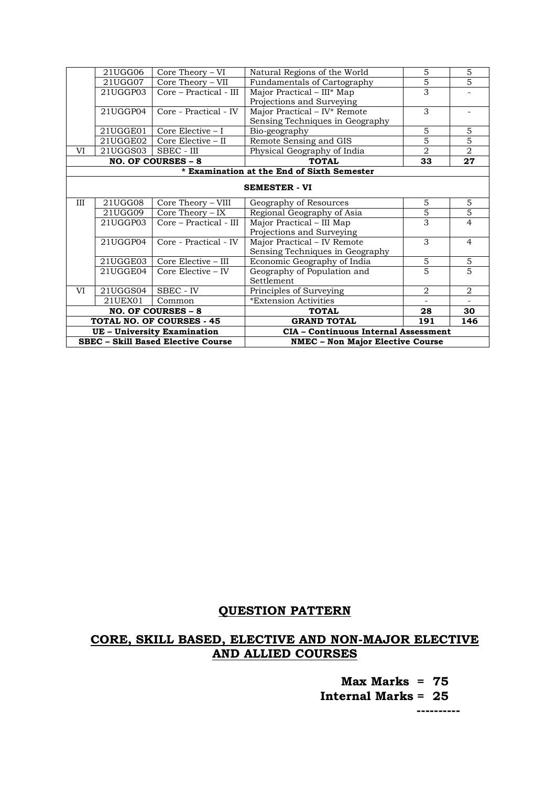| 21UGG06<br>Core Theory – VI               |          | Natural Regions of the World          | 5<br>$\overline{5}$                         | 5              |                |
|-------------------------------------------|----------|---------------------------------------|---------------------------------------------|----------------|----------------|
|                                           | 21UGG07  | $\overline{\text{Core}}$ Theory – VII | <b>Fundamentals of Cartography</b>          |                | 5              |
|                                           | 21UGGP03 | Core - Practical - III                | Major Practical - III* Map                  | 3              |                |
|                                           |          |                                       | Projections and Surveying                   |                |                |
|                                           | 21UGGP04 | Core - Practical - IV                 | Major Practical - IV* Remote                | 3              |                |
|                                           |          |                                       | Sensing Techniques in Geography             |                |                |
|                                           | 21UGGE01 | Core Elective $-1$                    | Bio-geography                               | 5              | 5              |
|                                           | 21UGGE02 | Core Elective – II                    | Remote Sensing and GIS                      | 5              | $\overline{5}$ |
| VI                                        | 21UGGS03 | SBEC - III                            | Physical Geography of India                 | $\overline{2}$ | $\overline{2}$ |
|                                           |          | NO. OF COURSES - 8                    | <b>TOTAL</b>                                | 33             | 27             |
|                                           |          |                                       | * Examination at the End of Sixth Semester  |                |                |
|                                           |          |                                       |                                             |                |                |
|                                           |          |                                       | <b>SEMESTER - VI</b>                        |                |                |
| III                                       | 21UGG08  | Core Theory - VIII                    | Geography of Resources                      | 5              | 5              |
|                                           | 21UGG09  | $Core$ Theory – IX                    | Regional Geography of Asia                  | $\overline{5}$ | $\overline{5}$ |
|                                           | 21UGGP03 | Core – Practical - III                | Major Practical - III Map                   | 3              | 4              |
|                                           |          |                                       | Projections and Surveying                   |                |                |
|                                           | 21UGGP04 | Core - Practical - IV                 | Major Practical - IV Remote                 | 3              | $\overline{4}$ |
|                                           |          |                                       | Sensing Techniques in Geography             |                |                |
|                                           | 21UGGE03 | Core Elective - III                   | Economic Geography of India                 | 5              | $\overline{5}$ |
|                                           | 21UGGE04 | Core Elective – IV                    | Geography of Population and                 | 5              | 5              |
|                                           |          |                                       | Settlement                                  |                |                |
| VI                                        | 21UGGS04 | SBEC - IV                             | Principles of Surveying                     | 2              | 2              |
|                                           | 21UEX01  | Common                                | *Extension Activities                       |                |                |
|                                           |          | NO. OF COURSES - 8                    | <b>TOTAL</b>                                | 28             | 30             |
|                                           |          | <b>TOTAL NO. OF COURSES - 45</b>      | <b>GRAND TOTAL</b>                          | 191            | 146            |
| <b>UE</b> - University Examination        |          |                                       | <b>CIA - Continuous Internal Assessment</b> |                |                |
| <b>SBEC - Skill Based Elective Course</b> |          |                                       | <b>NMEC - Non Major Elective Course</b>     |                |                |

## **QUESTION PATTERN**

## **CORE, SKILL BASED, ELECTIVE AND NON-MAJOR ELECTIVE AND ALLIED COURSES**

 **Max Marks = 75 Internal Marks = 25**

 **----------**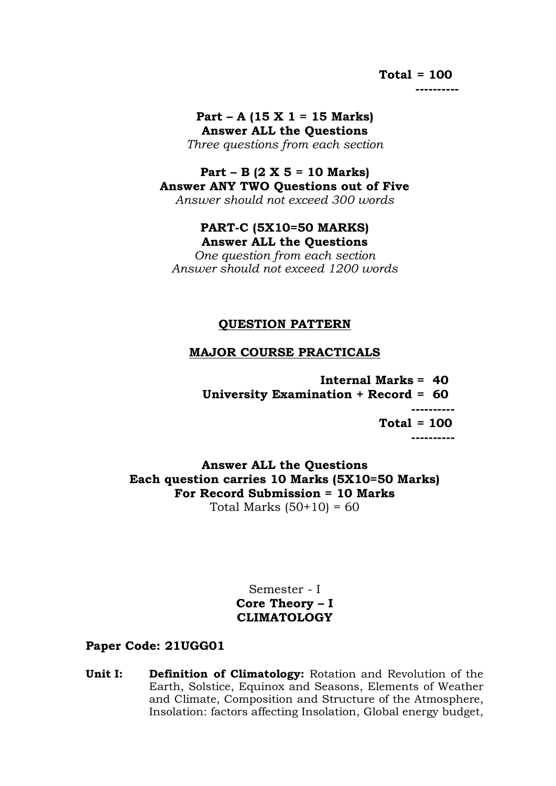## **Total = 100**

 **----------**

**Part – A (15 X 1 = 15 Marks) Answer ALL the Questions** *Three questions from each section*

## **Part – B (2 X 5 = 10 Marks) Answer ANY TWO Questions out of Five**

*Answer should not exceed 300 words*

## **PART-C (5X10=50 MARKS) Answer ALL the Questions**

*One question from each section Answer should not exceed 1200 words*

## **QUESTION PATTERN**

## **MAJOR COURSE PRACTICALS**

 **Internal Marks = 40 University Examination + Record = 60 ---------- Total = 100 ----------**

**Answer ALL the Questions Each question carries 10 Marks (5X10=50 Marks) For Record Submission = 10 Marks** Total Marks  $(50+10) = 60$ 

> Semester - I **Core Theory – I CLIMATOLOGY**

## **Paper Code: 21UGG01**

**Unit I: Definition of Climatology:** Rotation and Revolution of the Earth, Solstice, Equinox and Seasons, Elements of Weather and Climate, Composition and Structure of the Atmosphere, Insolation: factors affecting Insolation, Global energy budget,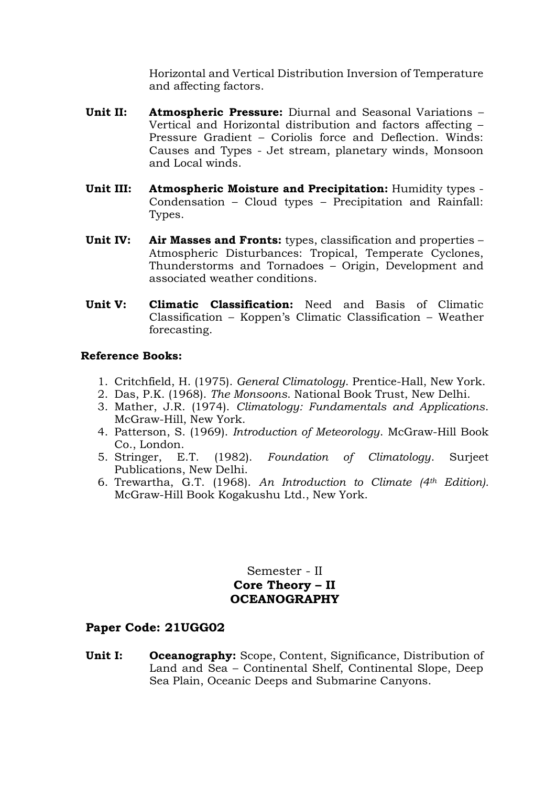Horizontal and Vertical Distribution Inversion of Temperature and affecting factors.

- **Unit II: Atmospheric Pressure:** Diurnal and Seasonal Variations Vertical and Horizontal distribution and factors affecting – Pressure Gradient – Coriolis force and Deflection. Winds: Causes and Types - Jet stream, planetary winds, Monsoon and Local winds.
- **Unit III: Atmospheric Moisture and Precipitation:** Humidity types Condensation – Cloud types – Precipitation and Rainfall: Types.
- **Unit IV: Air Masses and Fronts:** types, classification and properties Atmospheric Disturbances: Tropical, Temperate Cyclones, Thunderstorms and Tornadoes – Origin, Development and associated weather conditions.
- **Unit V: Climatic Classification:** Need and Basis of Climatic Classification – Koppen's Climatic Classification – Weather forecasting.

#### **Reference Books:**

- 1. Critchfield, H. (1975). *General Climatology*. Prentice-Hall, New York.
- 2. Das, P.K. (1968). *The Monsoons*. National Book Trust, New Delhi.
- 3. Mather, J.R. (1974). *Climatology: Fundamentals and Applications*. McGraw-Hill, New York.
- 4. Patterson, S. (1969). *Introduction of Meteorology*. McGraw-Hill Book Co., London.
- 5. Stringer, E.T. (1982). *Foundation of Climatology*. Surjeet Publications, New Delhi.
- 6. Trewartha, G.T. (1968). *An Introduction to Climate (4th Edition).* McGraw-Hill Book Kogakushu Ltd., New York.

Semester - II **Core Theory – II OCEANOGRAPHY**

## **Paper Code: 21UGG02**

**Unit I: Oceanography:** Scope, Content, Significance, Distribution of Land and Sea – Continental Shelf, Continental Slope, Deep Sea Plain, Oceanic Deeps and Submarine Canyons.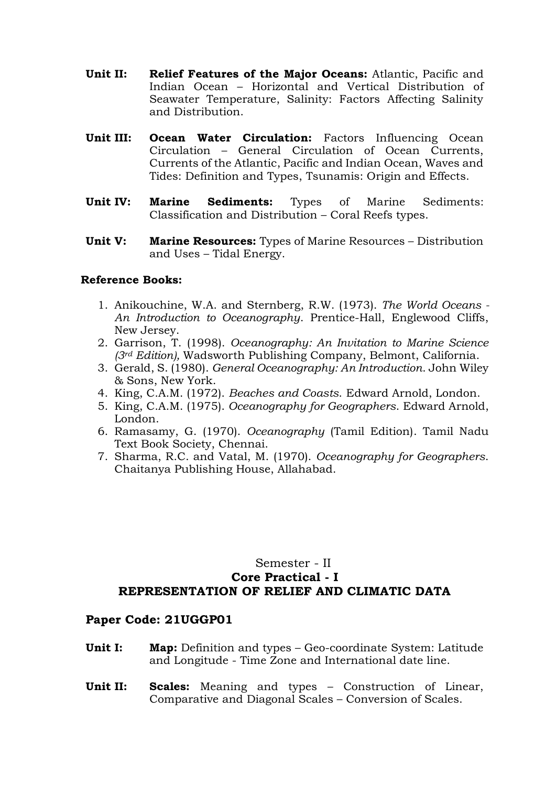- **Unit II: Relief Features of the Major Oceans:** Atlantic, Pacific and Indian Ocean – Horizontal and Vertical Distribution of Seawater Temperature, Salinity: Factors Affecting Salinity and Distribution.
- **Unit III: Ocean Water Circulation:** Factors Influencing Ocean Circulation – General Circulation of Ocean Currents, Currents of the Atlantic, Pacific and Indian Ocean, Waves and Tides: Definition and Types, Tsunamis: Origin and Effects.
- **Unit IV: Marine Sediments:** Types of Marine Sediments: Classification and Distribution – Coral Reefs types.
- **Unit V: Marine Resources:** Types of Marine Resources Distribution and Uses – Tidal Energy.

- 1. Anikouchine, W.A. and Sternberg, R.W. (1973). *The World Oceans - An Introduction to Oceanography*. Prentice-Hall, Englewood Cliffs, New Jersey.
- 2. Garrison, T. (1998). *Oceanography: An Invitation to Marine Science (3rd Edition),* Wadsworth Publishing Company, Belmont, California.
- 3. Gerald, S. (1980). *General Oceanography: An Introduction*. John Wiley & Sons, New York.
- 4. King, C.A.M. (1972). *Beaches and Coasts*. Edward Arnold, London.
- 5. King, C.A.M. (1975). *Oceanography for Geographers*. Edward Arnold, London.
- 6. Ramasamy, G. (1970). *Oceanography* (Tamil Edition). Tamil Nadu Text Book Society, Chennai.
- 7. Sharma, R.C. and Vatal, M. (1970). *Oceanography for Geographers*. Chaitanya Publishing House, Allahabad.

## Semester - II **Core Practical - I REPRESENTATION OF RELIEF AND CLIMATIC DATA**

- **Unit I: Map:** Definition and types Geo-coordinate System: Latitude and Longitude - Time Zone and International date line.
- **Unit II: Scales:** Meaning and types Construction of Linear, Comparative and Diagonal Scales – Conversion of Scales.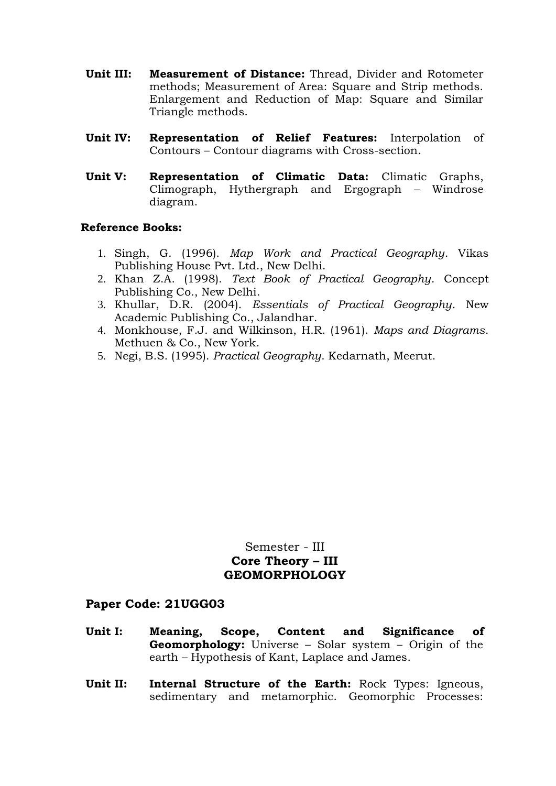- **Unit III: Measurement of Distance:** Thread, Divider and Rotometer methods; Measurement of Area: Square and Strip methods. Enlargement and Reduction of Map: Square and Similar Triangle methods.
- **Unit IV: Representation of Relief Features:** Interpolation of Contours – Contour diagrams with Cross-section.
- **Unit V: Representation of Climatic Data:** Climatic Graphs, Climograph, Hythergraph and Ergograph – Windrose diagram.

- 1. Singh, G. (1996). *Map Work and Practical Geography*. Vikas Publishing House Pvt. Ltd., New Delhi.
- 2. Khan Z.A. (1998). *Text Book of Practical Geography*. Concept Publishing Co., New Delhi.
- 3. Khullar, D.R. (2004). *Essentials of Practical Geography*. New Academic Publishing Co., Jalandhar.
- 4. Monkhouse, F.J. and Wilkinson, H.R. (1961). *Maps and Diagrams*. Methuen & Co., New York.
- 5. Negi, B.S. (1995). *Practical Geography*. Kedarnath, Meerut.

## Semester - III **Core Theory – III GEOMORPHOLOGY**

- **Unit I: Meaning, Scope, Content and Significance of Geomorphology:** Universe – Solar system – Origin of the earth – Hypothesis of Kant, Laplace and James.
- **Unit II: Internal Structure of the Earth:** Rock Types: Igneous, sedimentary and metamorphic. Geomorphic Processes: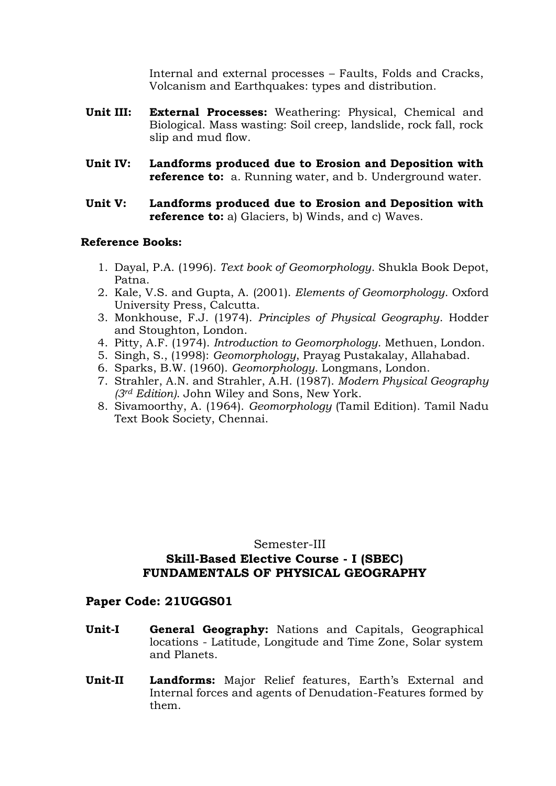Internal and external processes – Faults, Folds and Cracks, Volcanism and Earthquakes: types and distribution.

- **Unit III: External Processes:** Weathering: Physical, Chemical and Biological. Mass wasting: Soil creep, landslide, rock fall, rock slip and mud flow.
- **Unit IV: Landforms produced due to Erosion and Deposition with reference to:** a. Running water, and b. Underground water.
- **Unit V: Landforms produced due to Erosion and Deposition with reference to:** a) Glaciers, b) Winds, and c) Waves.

#### **Reference Books:**

- 1. Dayal, P.A. (1996). *Text book of Geomorphology*. Shukla Book Depot, Patna.
- 2. Kale, V.S. and Gupta, A. (2001). *Elements of Geomorphology*. Oxford University Press, Calcutta.
- 3. Monkhouse, F.J. (1974). *Principles of Physical Geography*. Hodder and Stoughton, London.
- 4. Pitty, A.F. (1974). *Introduction to Geomorphology*. Methuen, London.
- 5. Singh, S., (1998): *Geomorphology*, Prayag Pustakalay, Allahabad.
- 6. Sparks, B.W. (1960). *Geomorphology*. Longmans, London.
- 7. Strahler, A.N. and Strahler, A.H. (1987). *Modern Physical Geography (3rd Edition)*. John Wiley and Sons, New York.
- 8. Sivamoorthy, A. (1964). *Geomorphology* (Tamil Edition). Tamil Nadu Text Book Society, Chennai.

#### Semester-III

## **Skill-Based Elective Course - I (SBEC) FUNDAMENTALS OF PHYSICAL GEOGRAPHY**

- **Unit-I General Geography:** Nations and Capitals, Geographical locations - Latitude, Longitude and Time Zone, Solar system and Planets.
- **Unit-II Landforms:** Major Relief features, Earth's External and Internal forces and agents of Denudation-Features formed by them.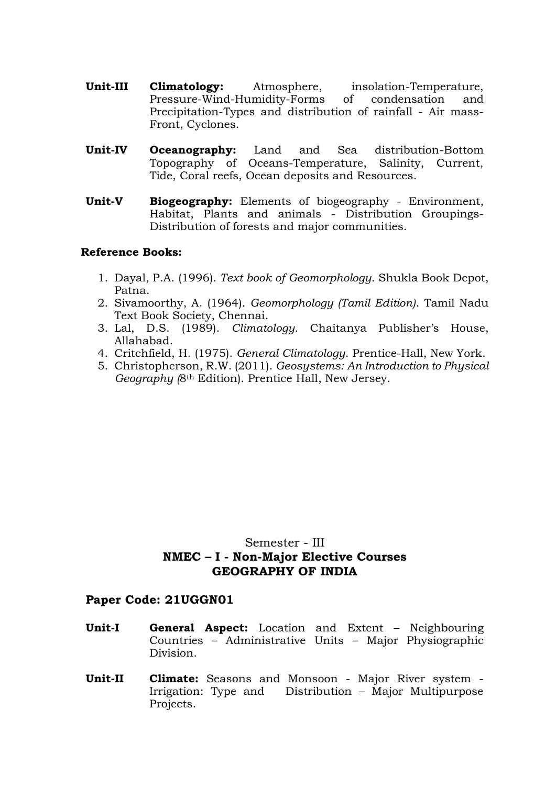- **Unit-III Climatology:** Atmosphere, insolation-Temperature, Pressure-Wind-Humidity-Forms of condensation and Precipitation-Types and distribution of rainfall - Air mass-Front, Cyclones.
- **Unit-IV Oceanography:** Land and Sea distribution-Bottom Topography of Oceans-Temperature, Salinity, Current, Tide, Coral reefs, Ocean deposits and Resources.
- **Unit-V Biogeography:** Elements of biogeography Environment, Habitat, Plants and animals - Distribution Groupings-Distribution of forests and major communities.

- 1. Dayal, P.A. (1996). *Text book of Geomorphology*. Shukla Book Depot, Patna.
- 2. Sivamoorthy, A. (1964). *Geomorphology (Tamil Edition)*. Tamil Nadu Text Book Society, Chennai.
- 3. Lal, D.S. (1989). *Climatology*. Chaitanya Publisher's House, Allahabad.
- 4. Critchfield, H. (1975). *General Climatology*. Prentice-Hall, New York.
- 5. Christopherson, R.W. (2011). *Geosystems: An Introduction to Physical Geography (*8th Edition). Prentice Hall, New Jersey.

## Semester - III **NMEC – I - Non-Major Elective Courses GEOGRAPHY OF INDIA**

- **Unit-I General Aspect:** Location and Extent Neighbouring Countries – Administrative Units – Major Physiographic Division.
- **Unit-II Climate:** Seasons and Monsoon Major River system Irrigation: Type and Distribution – Major Multipurpose Projects.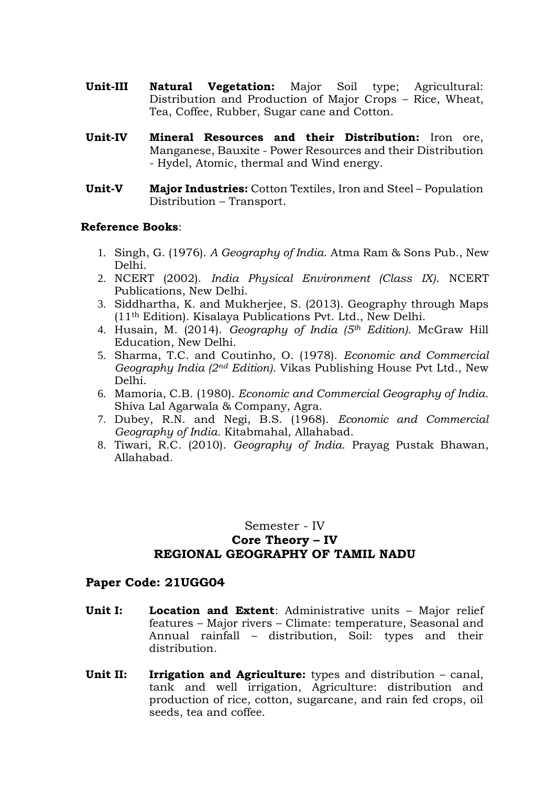- **Unit-III Natural Vegetation:** Major Soil type; Agricultural: Distribution and Production of Major Crops – Rice, Wheat, Tea, Coffee, Rubber, Sugar cane and Cotton.
- **Unit-IV Mineral Resources and their Distribution:** Iron ore, Manganese, Bauxite - Power Resources and their Distribution - Hydel, Atomic, thermal and Wind energy.
- **Unit-V Major Industries:** Cotton Textiles, Iron and Steel Population Distribution – Transport.

- 1. Singh, G. (1976). *A Geography of India*. Atma Ram & Sons Pub., New Delhi.
- 2. NCERT (2002). *India Physical Environment (Class IX)*. NCERT Publications, New Delhi.
- 3. Siddhartha, K. and Mukherjee, S. (2013). Geography through Maps (11th Edition). Kisalaya Publications Pvt. Ltd., New Delhi.
- 4. Husain, M. (2014). *Geography of India (5th Edition)*. McGraw Hill Education, New Delhi.
- 5. Sharma, T.C. and Coutinho, O. (1978). *Economic and Commercial Geography India (2nd Edition)*. Vikas Publishing House Pvt Ltd., New Delhi.
- 6. Mamoria, C.B. (1980). *Economic and Commercial Geography of India*. Shiva Lal Agarwala & Company, Agra.
- 7. Dubey, R.N. and Negi, B.S. (1968). *Economic and Commercial Geography of India*. Kitabmahal, Allahabad.
- 8. Tiwari, R.C. (2010). *Geography of India*. Prayag Pustak Bhawan, Allahabad.

## Semester - IV **Core Theory – IV REGIONAL GEOGRAPHY OF TAMIL NADU**

- **Unit I: Location and Extent**: Administrative units Major relief features – Major rivers – Climate: temperature, Seasonal and Annual rainfall – distribution, Soil: types and their distribution.
- **Unit II: Irrigation and Agriculture:** types and distribution canal, tank and well irrigation, Agriculture: distribution and production of rice, cotton, sugarcane, and rain fed crops, oil seeds, tea and coffee.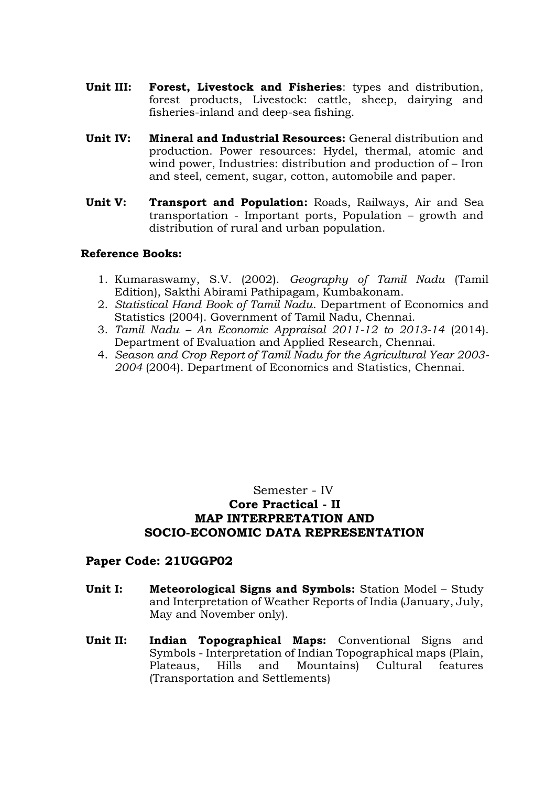- **Unit III: Forest, Livestock and Fisheries**: types and distribution, forest products, Livestock: cattle, sheep, dairying and fisheries-inland and deep-sea fishing.
- **Unit IV: Mineral and Industrial Resources:** General distribution and production. Power resources: Hydel, thermal, atomic and wind power, Industries: distribution and production of – Iron and steel, cement, sugar, cotton, automobile and paper.
- **Unit V: Transport and Population:** Roads, Railways, Air and Sea transportation - Important ports, Population – growth and distribution of rural and urban population.

- 1. Kumaraswamy, S.V. (2002). *Geography of Tamil Nadu* (Tamil Edition), Sakthi Abirami Pathipagam, Kumbakonam.
- 2. *Statistical Hand Book of Tamil Nadu*. Department of Economics and Statistics (2004). Government of Tamil Nadu, Chennai.
- 3. *Tamil Nadu – An Economic Appraisal 2011-12 to 2013-14* (2014). Department of Evaluation and Applied Research, Chennai.
- 4. *Season and Crop Report of Tamil Nadu for the Agricultural Year 2003- 2004* (2004). Department of Economics and Statistics, Chennai.

## Semester - IV **Core Practical - II MAP INTERPRETATION AND SOCIO-ECONOMIC DATA REPRESENTATION**

- **Unit I: Meteorological Signs and Symbols:** Station Model Study and Interpretation of Weather Reports of India (January, July, May and November only).
- **Unit II: Indian Topographical Maps:** Conventional Signs and Symbols - Interpretation of Indian Topographical maps (Plain, Plateaus, Hills and Mountains) Cultural features (Transportation and Settlements)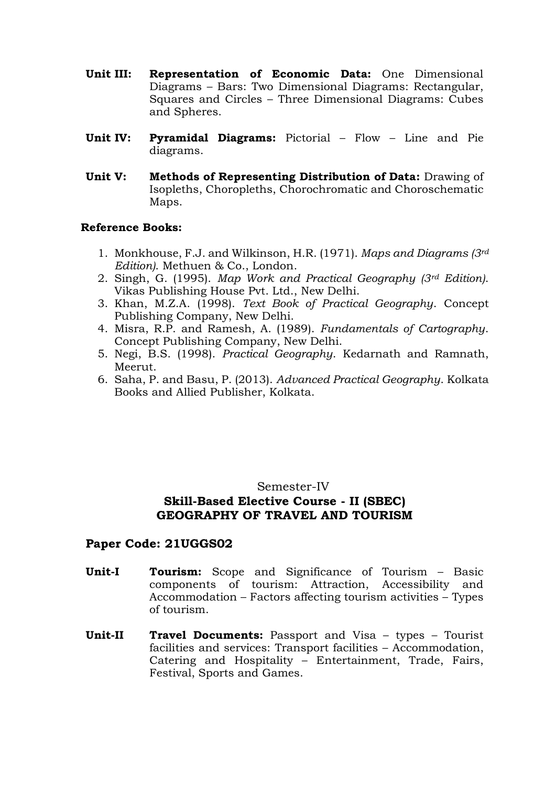- **Unit III: Representation of Economic Data:** One Dimensional Diagrams – Bars: Two Dimensional Diagrams: Rectangular, Squares and Circles – Three Dimensional Diagrams: Cubes and Spheres.
- **Unit IV: Pyramidal Diagrams:** Pictorial Flow Line and Pie diagrams.
- **Unit V: Methods of Representing Distribution of Data:** Drawing of Isopleths, Choropleths, Chorochromatic and Choroschematic Maps.

- 1. Monkhouse, F.J. and Wilkinson, H.R. (1971). *Maps and Diagrams (3rd Edition)*. Methuen & Co., London.
- 2. Singh, G. (1995). *Map Work and Practical Geography (3rd Edition)*. Vikas Publishing House Pvt. Ltd., New Delhi.
- 3. Khan, M.Z.A. (1998). *Text Book of Practical Geography*. Concept Publishing Company, New Delhi.
- 4. Misra, R.P. and Ramesh, A. (1989). *Fundamentals of Cartography*. Concept Publishing Company, New Delhi.
- 5. Negi, B.S. (1998). *Practical Geography*. Kedarnath and Ramnath, Meerut.
- 6. Saha, P. and Basu, P. (2013). *Advanced Practical Geography*. Kolkata Books and Allied Publisher, Kolkata.

## Semester-IV

## **Skill-Based Elective Course - II (SBEC) GEOGRAPHY OF TRAVEL AND TOURISM**

- **Unit-I Tourism:** Scope and Significance of Tourism Basic components of tourism: Attraction, Accessibility and Accommodation – Factors affecting tourism activities – Types of tourism.
- **Unit-II Travel Documents:** Passport and Visa types Tourist facilities and services: Transport facilities – Accommodation, Catering and Hospitality – Entertainment, Trade, Fairs, Festival, Sports and Games.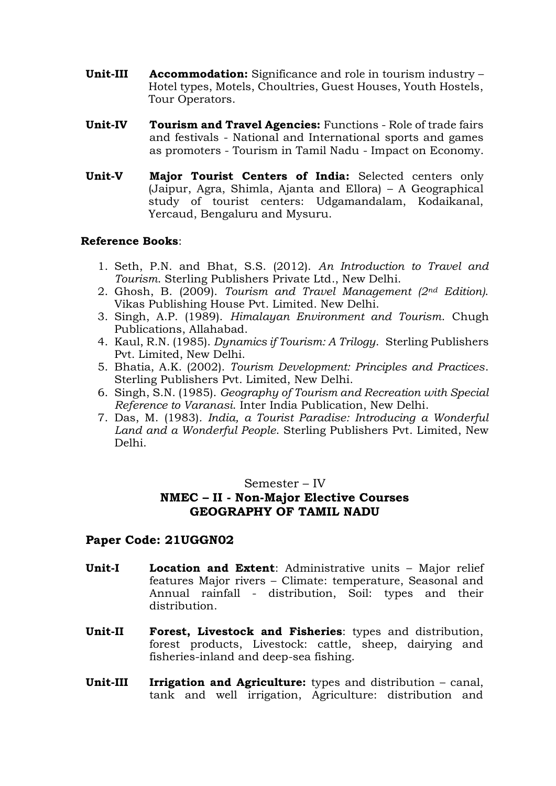- **Unit-III Accommodation:** Significance and role in tourism industry Hotel types, Motels, Choultries, Guest Houses, Youth Hostels, Tour Operators.
- **Unit-IV Tourism and Travel Agencies:** Functions Role of trade fairs and festivals - National and International sports and games as promoters - Tourism in Tamil Nadu - Impact on Economy.
- **Unit-V Major Tourist Centers of India:** Selected centers only (Jaipur, Agra, Shimla, Ajanta and Ellora) – A Geographical study of tourist centers: Udgamandalam, Kodaikanal, Yercaud, Bengaluru and Mysuru.

- 1. Seth, P.N. and Bhat, S.S. (2012). *An Introduction to Travel and Tourism*. Sterling Publishers Private Ltd., New Delhi.
- 2. Ghosh, B. (2009). *Tourism and Travel Management (2nd Edition)*. Vikas Publishing House Pvt. Limited. New Delhi.
- 3. Singh, A.P. (1989). *Himalayan Environment and Tourism*. Chugh Publications, Allahabad.
- 4. Kaul, R.N. (1985). *Dynamics if Tourism: A Trilogy*. Sterling Publishers Pvt. Limited, New Delhi.
- 5. Bhatia, A.K. (2002). *Tourism Development: Principles and Practices*. Sterling Publishers Pvt. Limited, New Delhi.
- 6. Singh, S.N. (1985). *Geography of Tourism and Recreation with Special Reference to Varanasi*. Inter India Publication, New Delhi.
- 7. Das, M. (1983)*. India, a Tourist Paradise: Introducing a Wonderful Land and a Wonderful People*. Sterling Publishers Pvt. Limited, New Delhi.

#### Semester – IV

## **NMEC – II - Non-Major Elective Courses GEOGRAPHY OF TAMIL NADU**

- **Unit-I Location and Extent**: Administrative units Major relief features Major rivers – Climate: temperature, Seasonal and Annual rainfall - distribution, Soil: types and their distribution.
- **Unit-II Forest, Livestock and Fisheries**: types and distribution, forest products, Livestock: cattle, sheep, dairying and fisheries-inland and deep-sea fishing.
- **Unit-III Irrigation and Agriculture:** types and distribution canal, tank and well irrigation, Agriculture: distribution and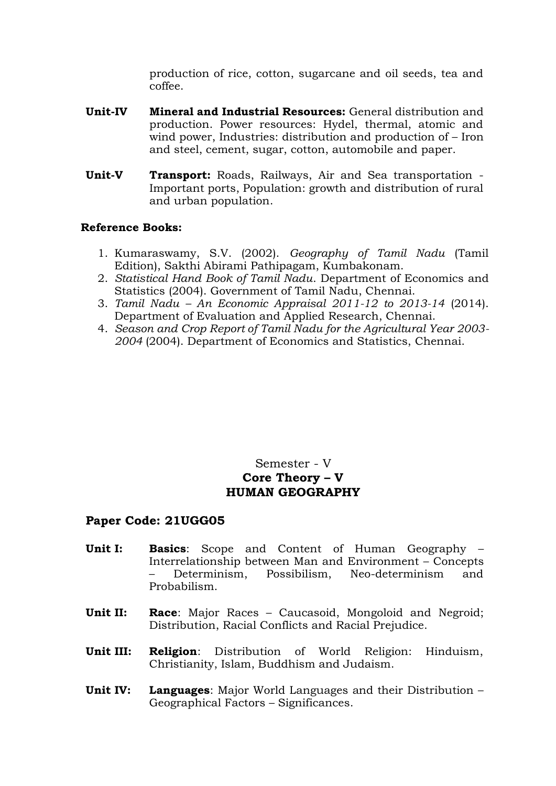production of rice, cotton, sugarcane and oil seeds, tea and coffee.

- **Unit-IV Mineral and Industrial Resources:** General distribution and production. Power resources: Hydel, thermal, atomic and wind power, Industries: distribution and production of – Iron and steel, cement, sugar, cotton, automobile and paper.
- **Unit-V Transport:** Roads, Railways, Air and Sea transportation Important ports, Population: growth and distribution of rural and urban population.

#### **Reference Books:**

- 1. Kumaraswamy, S.V. (2002). *Geography of Tamil Nadu* (Tamil Edition), Sakthi Abirami Pathipagam, Kumbakonam.
- 2. *Statistical Hand Book of Tamil Nadu*. Department of Economics and Statistics (2004). Government of Tamil Nadu, Chennai.
- 3. *Tamil Nadu – An Economic Appraisal 2011-12 to 2013-14* (2014). Department of Evaluation and Applied Research, Chennai.
- 4. *Season and Crop Report of Tamil Nadu for the Agricultural Year 2003- 2004* (2004). Department of Economics and Statistics, Chennai.

## Semester - V **Core Theory – V HUMAN GEOGRAPHY**

- **Unit I: Basics**: Scope and Content of Human Geography Interrelationship between Man and Environment – Concepts – Determinism, Possibilism, Neo-determinism and Probabilism.
- **Unit II: Race**: Major Races Caucasoid, Mongoloid and Negroid; Distribution, Racial Conflicts and Racial Prejudice.
- **Unit III: Religion**: Distribution of World Religion: Hinduism, Christianity, Islam, Buddhism and Judaism.
- **Unit IV: Languages**: Major World Languages and their Distribution Geographical Factors – Significances.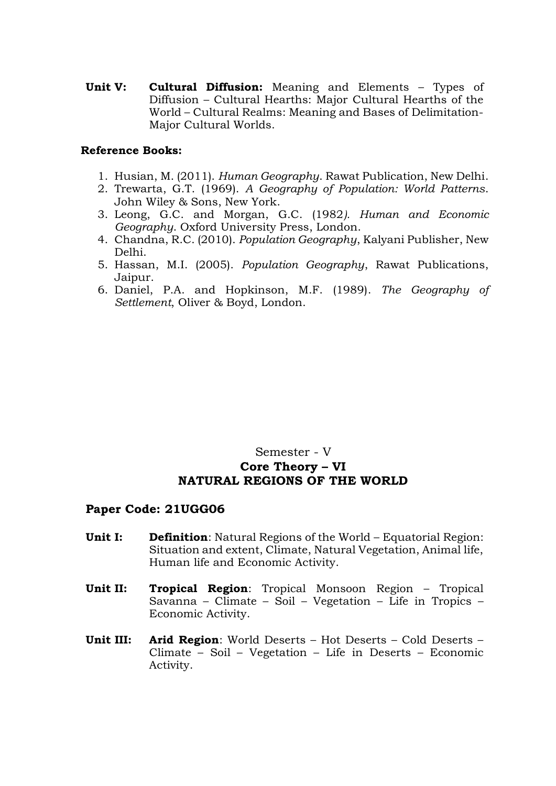**Unit V: Cultural Diffusion:** Meaning and Elements – Types of Diffusion – Cultural Hearths: Major Cultural Hearths of the World – Cultural Realms: Meaning and Bases of Delimitation-Major Cultural Worlds.

#### **Reference Books:**

- 1. Husian, M. (2011). *Human Geography*. Rawat Publication, New Delhi.
- 2. Trewarta, G.T. (1969). *A Geography of Population: World Patterns*. John Wiley & Sons, New York.
- 3. Leong, G.C. and Morgan, G.C. (1982*). Human and Economic Geography*. Oxford University Press, London.
- 4. Chandna, R.C. (2010). *Population Geography*, Kalyani Publisher, New Delhi.
- 5. Hassan, M.I. (2005). *Population Geography*, Rawat Publications, Jaipur.
- 6. Daniel, P.A. and Hopkinson, M.F. (1989). *The Geography of Settlement*, Oliver & Boyd, London.

## Semester - V **Core Theory – VI NATURAL REGIONS OF THE WORLD**

- **Unit I: Definition**: Natural Regions of the World Equatorial Region: Situation and extent, Climate, Natural Vegetation, Animal life, Human life and Economic Activity.
- **Unit II: Tropical Region**: Tropical Monsoon Region Tropical Savanna – Climate – Soil – Vegetation – Life in Tropics – Economic Activity.
- **Unit III: Arid Region**: World Deserts Hot Deserts Cold Deserts Climate – Soil – Vegetation – Life in Deserts – Economic Activity.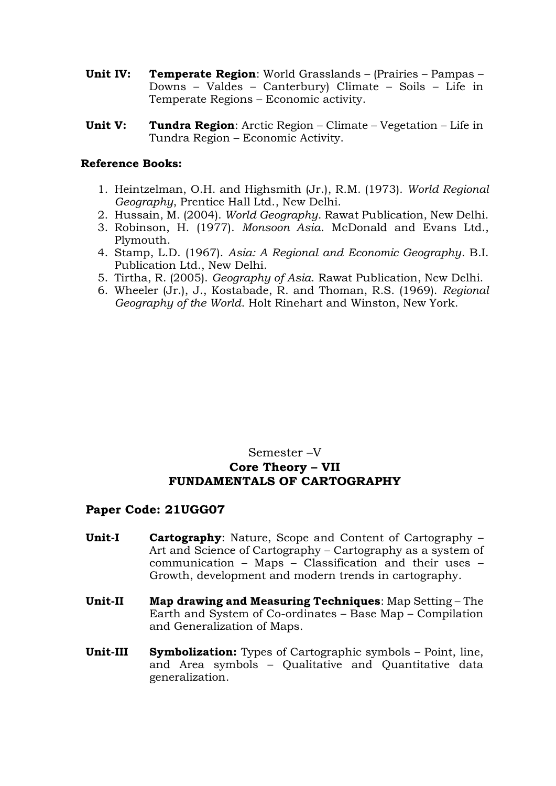- **Unit IV: Temperate Region**: World Grasslands (Prairies Pampas Downs – Valdes – Canterbury) Climate – Soils – Life in Temperate Regions – Economic activity.
- **Unit V: Tundra Region**: Arctic Region Climate Vegetation Life in Tundra Region – Economic Activity.

- 1. Heintzelman, O.H. and Highsmith (Jr.), R.M. (1973). *World Regional Geography*, Prentice Hall Ltd., New Delhi.
- 2. Hussain, M. (2004). *World Geography*. Rawat Publication, New Delhi.
- 3. Robinson, H. (1977). *Monsoon Asia*. McDonald and Evans Ltd., Plymouth.
- 4. Stamp, L.D. (1967). *Asia: A Regional and Economic Geography*. B.I. Publication Ltd., New Delhi.
- 5. Tirtha, R. (2005). *Geography of Asia*. Rawat Publication, New Delhi.
- 6. Wheeler (Jr.), J., Kostabade, R. and Thoman, R.S. (1969). *Regional Geography of the World*. Holt Rinehart and Winston, New York.

## Semester –V **Core Theory – VII FUNDAMENTALS OF CARTOGRAPHY**

- **Unit-I Cartography**: Nature, Scope and Content of Cartography Art and Science of Cartography – Cartography as a system of communication – Maps – Classification and their uses – Growth, development and modern trends in cartography.
- **Unit-II Map drawing and Measuring Techniques**: Map Setting The Earth and System of Co-ordinates – Base Map – Compilation and Generalization of Maps.
- **Unit-III Symbolization:** Types of Cartographic symbols Point, line, and Area symbols – Qualitative and Quantitative data generalization.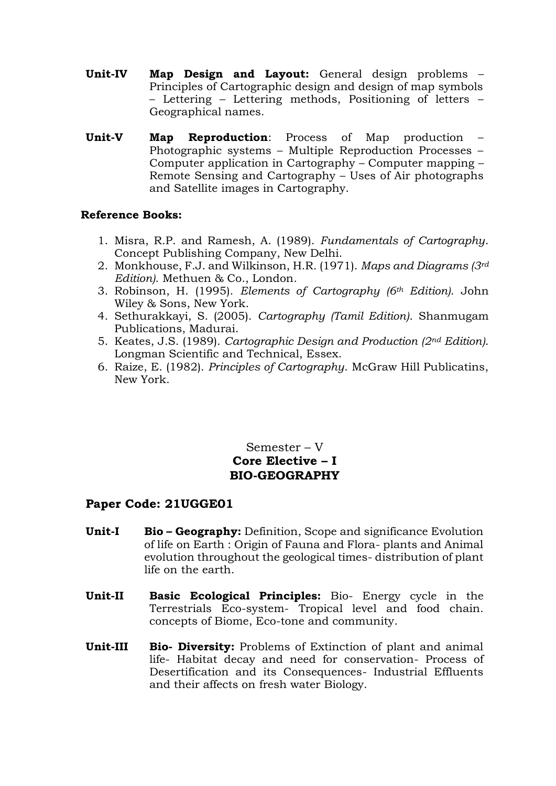- **Unit-IV Map Design and Layout:** General design problems Principles of Cartographic design and design of map symbols – Lettering – Lettering methods, Positioning of letters – Geographical names.
- **Unit-V Map Reproduction**: Process of Map production Photographic systems – Multiple Reproduction Processes – Computer application in Cartography – Computer mapping – Remote Sensing and Cartography – Uses of Air photographs and Satellite images in Cartography.

- 1. Misra, R.P. and Ramesh, A. (1989). *Fundamentals of Cartography*. Concept Publishing Company, New Delhi.
- 2. Monkhouse, F.J. and Wilkinson, H.R. (1971). *Maps and Diagrams (3rd Edition)*. Methuen & Co., London.
- 3. Robinson, H. (1995). *Elements of Cartography (6th Edition)*. John Wiley & Sons, New York.
- 4. Sethurakkayi, S. (2005). *Cartography (Tamil Edition)*. Shanmugam Publications, Madurai.
- 5. Keates, J.S. (1989). *Cartographic Design and Production (2nd Edition)*. Longman Scientific and Technical, Essex.
- 6. Raize, E. (1982). *Principles of Cartography*. McGraw Hill Publicatins, New York.

## Semester – V **Core Elective – I BIO-GEOGRAPHY**

- **Unit-I Bio – Geography:** Definition, Scope and significance Evolution of life on Earth : Origin of Fauna and Flora- plants and Animal evolution throughout the geological times- distribution of plant life on the earth.
- **Unit-II Basic Ecological Principles:** Bio- Energy cycle in the Terrestrials Eco-system- Tropical level and food chain. concepts of Biome, Eco-tone and community.
- **Unit-III Bio- Diversity:** Problems of Extinction of plant and animal life- Habitat decay and need for conservation- Process of Desertification and its Consequences- Industrial Effluents and their affects on fresh water Biology.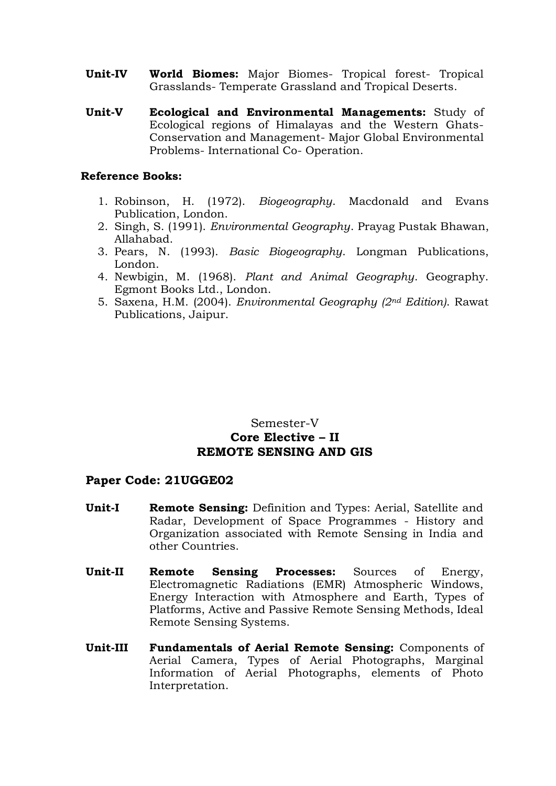- **Unit-IV World Biomes:** Major Biomes- Tropical forest- Tropical Grasslands- Temperate Grassland and Tropical Deserts.
- **Unit-V Ecological and Environmental Managements:** Study of Ecological regions of Himalayas and the Western Ghats-Conservation and Management- Major Global Environmental Problems- International Co- Operation.

- 1. Robinson, H. (1972). *Biogeography*. Macdonald and Evans Publication, London.
- 2. Singh, S. (1991). *Environmental Geography*. Prayag Pustak Bhawan, Allahabad.
- 3. Pears, N. (1993). *Basic Biogeography*. Longman Publications, London.
- 4. Newbigin, M. (1968). *Plant and Animal Geography*. Geography. Egmont Books Ltd., London.
- 5. Saxena, H.M. (2004). *Environmental Geography (2nd Edition)*. Rawat Publications, Jaipur.

## Semester-V **Core Elective – II REMOTE SENSING AND GIS**

- **Unit-I Remote Sensing:** Definition and Types: Aerial, Satellite and Radar, Development of Space Programmes - History and Organization associated with Remote Sensing in India and other Countries.
- **Unit-II Remote Sensing Processes:** Sources of Energy, Electromagnetic Radiations (EMR) Atmospheric Windows, Energy Interaction with Atmosphere and Earth, Types of Platforms, Active and Passive Remote Sensing Methods, Ideal Remote Sensing Systems.
- **Unit-III Fundamentals of Aerial Remote Sensing:** Components of Aerial Camera, Types of Aerial Photographs, Marginal Information of Aerial Photographs, elements of Photo Interpretation.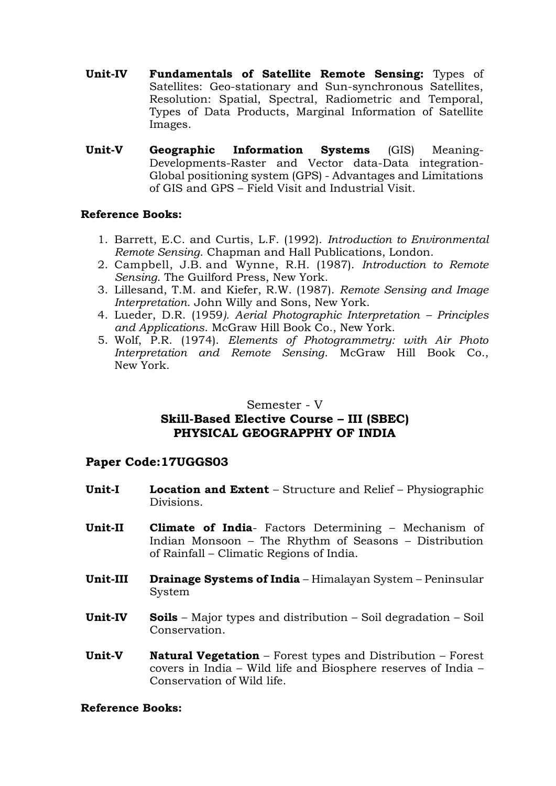- **Unit-IV Fundamentals of Satellite Remote Sensing:** Types of Satellites: Geo-stationary and Sun-synchronous Satellites, Resolution: Spatial, Spectral, Radiometric and Temporal, Types of Data Products, Marginal Information of Satellite Images.
- **Unit-V Geographic Information Systems** (GIS) Meaning-Developments-Raster and Vector data-Data integration-Global positioning system (GPS) - Advantages and Limitations of GIS and GPS – Field Visit and Industrial Visit.

- 1. Barrett, E.C. and Curtis, L.F. (1992). *Introduction to Environmental Remote Sensing*. Chapman and Hall Publications, London.
- 2. [Campbell,](http://www.guilford.com/author/James-B-Campbell) J.B. and [Wynne,](http://www.guilford.com/author/Randolph-H-Wynne) R.H. (1987). *Introduction to Remote Sensing*. The Guilford Press, New York.
- 3. Lillesand, T.M. and Kiefer, R.W. (1987). *Remote Sensing and Image Interpretation*. John Willy and Sons, New York.
- 4. Lueder, D.R. (1959*). Aerial Photographic Interpretation – Principles and Applications*. McGraw Hill Book Co., New York.
- 5. Wolf, P.R. (1974). *Elements of Photogrammetry: with Air Photo Interpretation and Remote Sensing*. McGraw Hill Book Co., New York.

## Semester - V **Skill-Based Elective Course – III (SBEC) PHYSICAL GEOGRAPPHY OF INDIA**

## **Paper Code:17UGGS03**

- **Unit-I Location and Extent** Structure and Relief Physiographic Divisions.
- **Unit-II Climate of India** Factors Determining Mechanism of Indian Monsoon – The Rhythm of Seasons – Distribution of Rainfall – Climatic Regions of India.
- **Unit-III Drainage Systems of India** Himalayan System Peninsular System
- **Unit-IV Soils**  Major types and distribution Soil degradation Soil Conservation.
- **Unit-V Natural Vegetation** Forest types and Distribution Forest covers in India – Wild life and Biosphere reserves of India – Conservation of Wild life.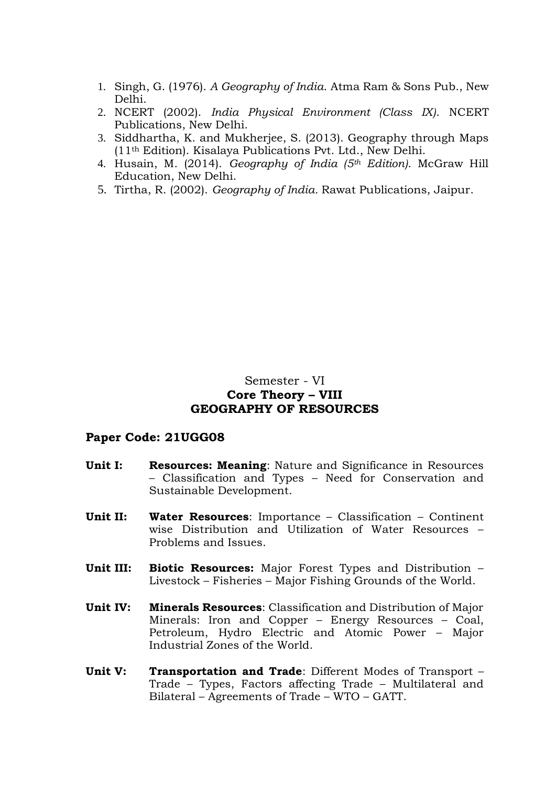- 1. Singh, G. (1976). *A Geography of India*. Atma Ram & Sons Pub., New Delhi.
- 2. NCERT (2002). *India Physical Environment (Class IX)*. NCERT Publications, New Delhi.
- 3. Siddhartha, K. and Mukherjee, S. (2013). Geography through Maps (11th Edition). Kisalaya Publications Pvt. Ltd., New Delhi.
- 4. Husain, M. (2014). *Geography of India (5th Edition)*. McGraw Hill Education, New Delhi.
- 5. Tirtha, R. (2002). *Geography of India.* Rawat Publications, Jaipur.

## Semester - VI **Core Theory – VIII GEOGRAPHY OF RESOURCES**

- **Unit I: Resources: Meaning**: Nature and Significance in Resources – Classification and Types – Need for Conservation and Sustainable Development.
- **Unit II: Water Resources**: Importance Classification Continent wise Distribution and Utilization of Water Resources – Problems and Issues.
- **Unit III: Biotic Resources:** Major Forest Types and Distribution Livestock – Fisheries – Major Fishing Grounds of the World.
- **Unit IV: Minerals Resources**: Classification and Distribution of Major Minerals: Iron and Copper – Energy Resources – Coal, Petroleum, Hydro Electric and Atomic Power – Major Industrial Zones of the World.
- **Unit V: Transportation and Trade**: Different Modes of Transport Trade – Types, Factors affecting Trade – Multilateral and Bilateral – Agreements of Trade – WTO – GATT.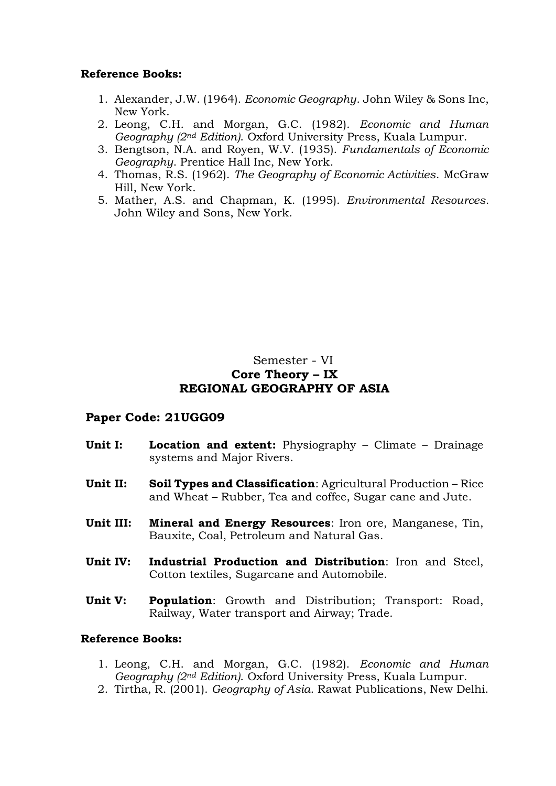- 1. Alexander, J.W. (1964). *Economic Geography*. John Wiley & Sons Inc, New York.
- 2. Leong, C.H. and Morgan, G.C. (1982). *Economic and Human Geography (2nd Edition)*. Oxford University Press, Kuala Lumpur.
- 3. Bengtson, N.A. and Royen, W.V. (1935). *Fundamentals of Economic Geography*. Prentice Hall Inc, New York.
- 4. Thomas, R.S. (1962). *The Geography of Economic Activities*. McGraw Hill, New York.
- 5. Mather, A.S. and Chapman, K. (1995). *Environmental Resources.* John Wiley and Sons, New York.

## Semester - VI **Core Theory – IX REGIONAL GEOGRAPHY OF ASIA**

## **Paper Code: 21UGG09**

- **Unit I:** Location and extent: Physiography Climate Drainage systems and Major Rivers.
- **Unit II: Soil Types and Classification**: Agricultural Production Rice and Wheat – Rubber, Tea and coffee, Sugar cane and Jute.
- **Unit III: Mineral and Energy Resources**: Iron ore, Manganese, Tin, Bauxite, Coal, Petroleum and Natural Gas.
- **Unit IV: Industrial Production and Distribution**: Iron and Steel, Cotton textiles, Sugarcane and Automobile.
- **Unit V: Population**: Growth and Distribution; Transport: Road, Railway, Water transport and Airway; Trade.

- 1. Leong, C.H. and Morgan, G.C. (1982). *Economic and Human Geography (2nd Edition)*. Oxford University Press, Kuala Lumpur.
- 2. Tirtha, R. (2001). *Geography of Asia*. Rawat Publications, New Delhi.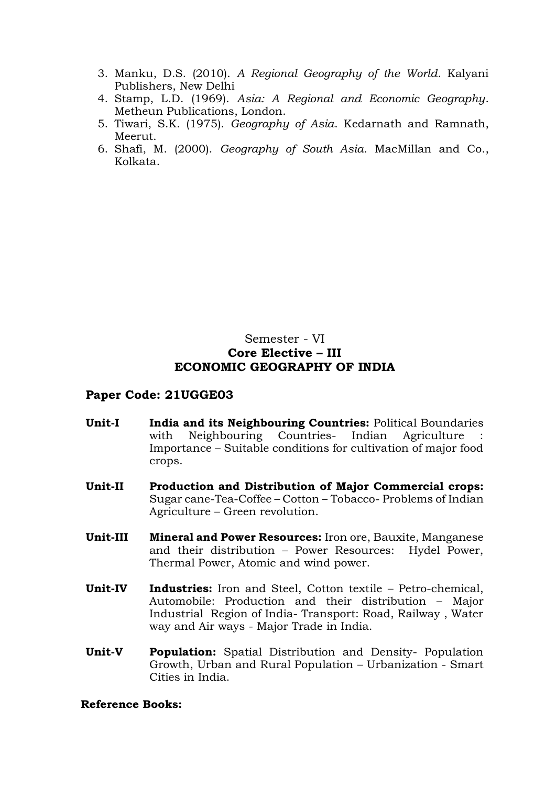- 3. Manku, D.S. (2010). *A Regional Geography of the World*. Kalyani Publishers, New Delhi
- 4. Stamp, L.D. (1969). *Asia: A Regional and Economic Geography*. Metheun Publications, London.
- 5. Tiwari, S.K. (1975). *Geography of Asia*. Kedarnath and Ramnath, Meerut.
- 6. Shafi, M. (2000). *Geography of South Asia*. MacMillan and Co., Kolkata.

## Semester - VI **Core Elective – III ECONOMIC GEOGRAPHY OF INDIA**

## **Paper Code: 21UGGE03**

- **Unit-I India and its Neighbouring Countries:** Political Boundaries with Neighbouring Countries- Indian Agriculture Importance – Suitable conditions for cultivation of major food crops.
- **Unit-II Production and Distribution of Major Commercial crops:** Sugar cane-Tea-Coffee – Cotton – Tobacco- Problems of Indian Agriculture – Green revolution.
- **Unit-III Mineral and Power Resources:** Iron ore, Bauxite, Manganese and their distribution – Power Resources: Hydel Power, Thermal Power, Atomic and wind power.
- **Unit-IV Industries:** Iron and Steel, Cotton textile Petro-chemical, Automobile: Production and their distribution – Major Industrial Region of India- Transport: Road, Railway , Water way and Air ways - Major Trade in India.
- **Unit-V Population:** Spatial Distribution and Density- Population Growth, Urban and Rural Population – Urbanization - Smart Cities in India.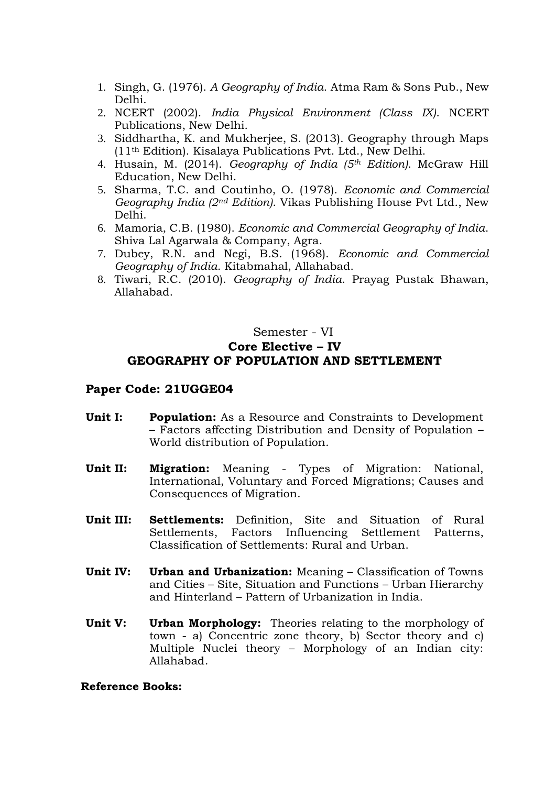- 1. Singh, G. (1976). *A Geography of India*. Atma Ram & Sons Pub., New Delhi.
- 2. NCERT (2002). *India Physical Environment (Class IX)*. NCERT Publications, New Delhi.
- 3. Siddhartha, K. and Mukherjee, S. (2013). Geography through Maps (11th Edition). Kisalaya Publications Pvt. Ltd., New Delhi.
- 4. Husain, M. (2014). *Geography of India (5th Edition)*. McGraw Hill Education, New Delhi.
- 5. Sharma, T.C. and Coutinho, O. (1978). *Economic and Commercial Geography India (2nd Edition)*. Vikas Publishing House Pvt Ltd., New Delhi.
- 6. Mamoria, C.B. (1980). *Economic and Commercial Geography of India*. Shiva Lal Agarwala & Company, Agra.
- 7. Dubey, R.N. and Negi, B.S. (1968). *Economic and Commercial Geography of India*. Kitabmahal, Allahabad.
- 8. Tiwari, R.C. (2010). *Geography of India*. Prayag Pustak Bhawan, Allahabad.

## Semester - VI **Core Elective – IV GEOGRAPHY OF POPULATION AND SETTLEMENT**

#### **Paper Code: 21UGGE04**

- **Unit I: Population:** As a Resource and Constraints to Development – Factors affecting Distribution and Density of Population – World distribution of Population.
- **Unit II: Migration:** Meaning Types of Migration: National, International, Voluntary and Forced Migrations; Causes and Consequences of Migration.
- **Unit III: Settlements:** Definition, Site and Situation of Rural Settlements, Factors Influencing Settlement Patterns, Classification of Settlements: Rural and Urban.
- **Unit IV: Urban and Urbanization:** Meaning Classification of Towns and Cities – Site, Situation and Functions – Urban Hierarchy and Hinterland – Pattern of Urbanization in India.
- **Unit V: Urban Morphology:** Theories relating to the morphology of town - a) Concentric zone theory, b) Sector theory and c) Multiple Nuclei theory – Morphology of an Indian city: Allahabad.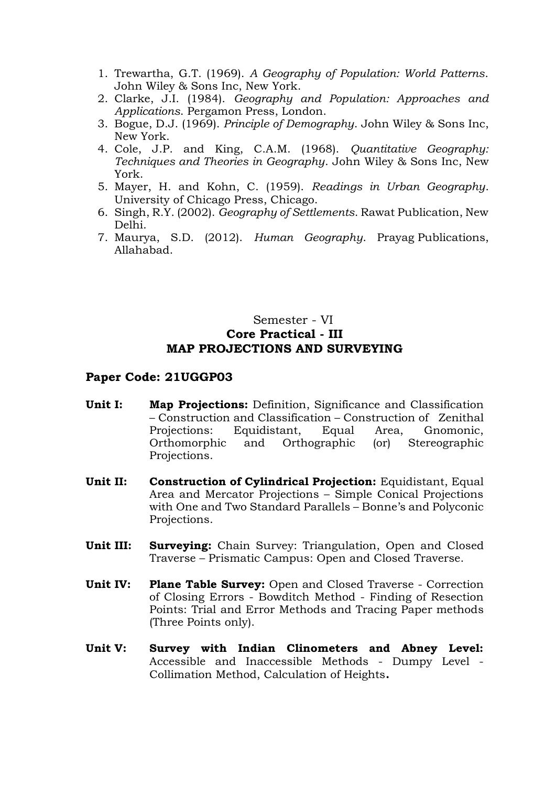- 1. Trewartha, G.T. (1969). *A Geography of Population: World Patterns*. John Wiley & Sons Inc, New York.
- 2. Clarke, J.I. (1984). *Geography and Population: Approaches and Applications*. Pergamon Press, London.
- 3. [Bogue,](http://www.amazon.in/s/ref=dp_byline_sr_book_1?ie=UTF8&field-author=Donald+J.+Bogue&search-alias=stripbooks) D.J. (1969). *Principle of Demography*. John Wiley & Sons Inc, New York.
- 4. Cole, J.P. and King, C.A.M. (1968). *Quantitative Geography: Techniques and Theories in Geography*. John Wiley & Sons Inc, New York.
- 5. Mayer, H. and Kohn, C. (1959). *Readings in Urban Geography*. University of Chicago Press, Chicago.
- 6. Singh, R.Y. (2002). *Geography of Settlements*. Rawat Publication, New Delhi.
- 7. Maurya, S.D. (2012). *Human Geography*. Prayag Publications, Allahabad.

## Semester - VI **Core Practical - III MAP PROJECTIONS AND SURVEYING**

- **Unit I: Map Projections:** Definition, Significance and Classification – Construction and Classification – Construction of Zenithal Projections: Equidistant, Equal Area, Gnomonic, Orthomorphic and Orthographic (or) Stereographic Projections.
- **Unit II: Construction of Cylindrical Projection:** Equidistant, Equal Area and Mercator Projections – Simple Conical Projections with One and Two Standard Parallels – Bonne's and Polyconic Projections.
- **Unit III: Surveying:** Chain Survey: Triangulation, Open and Closed Traverse – Prismatic Campus: Open and Closed Traverse.
- **Unit IV: Plane Table Survey:** Open and Closed Traverse Correction of Closing Errors - Bowditch Method - Finding of Resection Points: Trial and Error Methods and Tracing Paper methods (Three Points only).
- **Unit V: Survey with Indian Clinometers and Abney Level:** Accessible and Inaccessible Methods - Dumpy Level - Collimation Method, Calculation of Heights**.**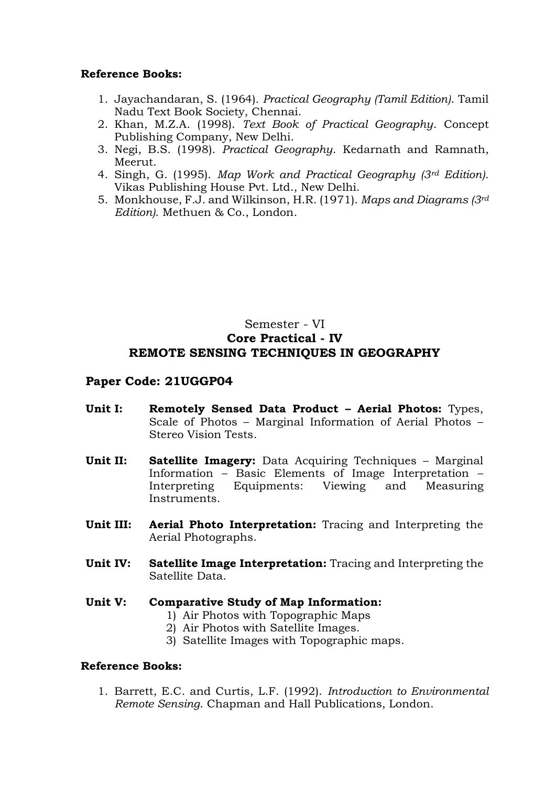- 1. Jayachandaran, S. (1964). *Practical Geography (Tamil Edition)*. Tamil Nadu Text Book Society, Chennai.
- 2. Khan, M.Z.A. (1998). *Text Book of Practical Geography*. Concept Publishing Company, New Delhi.
- 3. Negi, B.S. (1998). *Practical Geography*. Kedarnath and Ramnath, Meerut.
- 4. Singh, G. (1995). *Map Work and Practical Geography (3rd Edition)*. Vikas Publishing House Pvt. Ltd., New Delhi.
- 5. Monkhouse, F.J. and Wilkinson, H.R. (1971). *Maps and Diagrams (3rd Edition)*. Methuen & Co., London.

## Semester - VI **Core Practical - IV REMOTE SENSING TECHNIQUES IN GEOGRAPHY**

#### **Paper Code: 21UGGP04**

- **Unit I: Remotely Sensed Data Product – Aerial Photos:** Types, Scale of Photos – Marginal Information of Aerial Photos – Stereo Vision Tests.
- **Unit II: Satellite Imagery:** Data Acquiring Techniques Marginal Information – Basic Elements of Image Interpretation – Interpreting Equipments: Viewing and Measuring **Instruments**
- **Unit III: Aerial Photo Interpretation:** Tracing and Interpreting the Aerial Photographs.
- **Unit IV: Satellite Image Interpretation:** Tracing and Interpreting the Satellite Data.

#### **Unit V: Comparative Study of Map Information:**

- 1) Air Photos with Topographic Maps
- 2) Air Photos with Satellite Images.
- 3) Satellite Images with Topographic maps.

#### **Reference Books:**

1. Barrett, E.C. and Curtis, L.F. (1992). *Introduction to Environmental Remote Sensing*. Chapman and Hall Publications, London.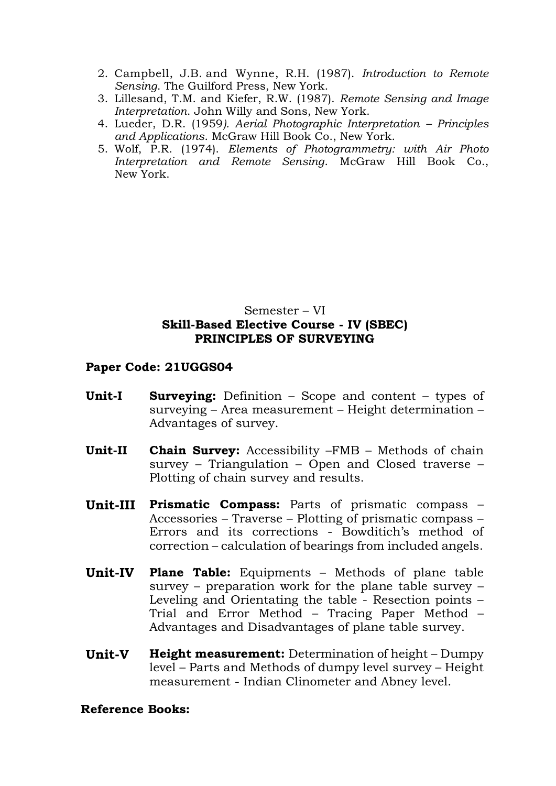- 2. [Campbell,](http://www.guilford.com/author/James-B-Campbell) J.B. and [Wynne,](http://www.guilford.com/author/Randolph-H-Wynne) R.H. (1987). *Introduction to Remote Sensing*. The Guilford Press, New York.
- 3. Lillesand, T.M. and Kiefer, R.W. (1987). *Remote Sensing and Image Interpretation*. John Willy and Sons, New York.
- 4. Lueder, D.R. (1959*). Aerial Photographic Interpretation – Principles and Applications*. McGraw Hill Book Co., New York.
- 5. Wolf, P.R. (1974). *Elements of Photogrammetry: with Air Photo Interpretation and Remote Sensing*. McGraw Hill Book Co., New York.

## Semester – VI **Skill-Based Elective Course - IV (SBEC) PRINCIPLES OF SURVEYING**

## **Paper Code: 21UGGS04**

- **Unit-I Surveying:** Definition Scope and content types of surveying – Area measurement – Height determination – Advantages of survey.
- **Unit-II Chain Survey:** Accessibility –FMB Methods of chain survey – Triangulation – Open and Closed traverse – Plotting of chain survey and results.
- **Unit-III Prismatic Compass:** Parts of prismatic compass Accessories – Traverse – Plotting of prismatic compass – Errors and its corrections - Bowditich's method of correction – calculation of bearings from included angels.
- **Unit-IV Plane Table:** Equipments Methods of plane table survey – preparation work for the plane table survey – Leveling and Orientating the table - Resection points – Trial and Error Method – Tracing Paper Method – Advantages and Disadvantages of plane table survey.
- **Unit-V Height measurement:** Determination of height Dumpy level – Parts and Methods of dumpy level survey – Height measurement - Indian Clinometer and Abney level.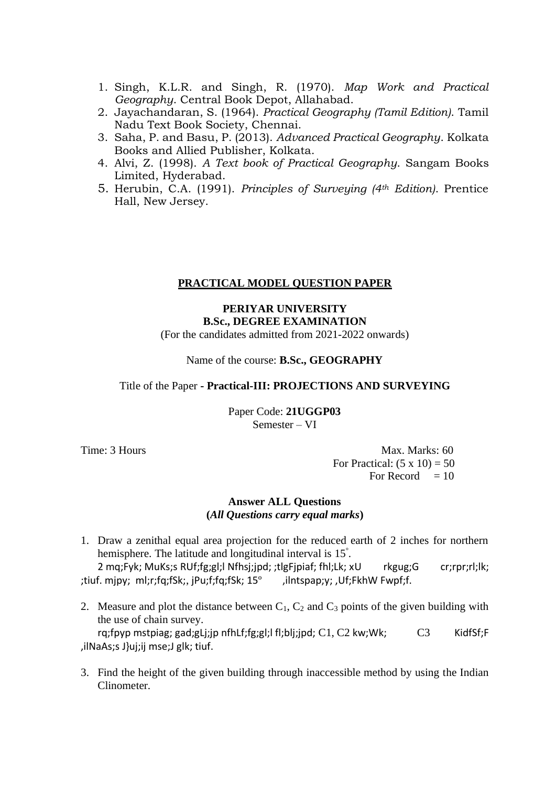- 1. Singh, K.L.R. and Singh, R. (1970). *Map Work and Practical Geography*. Central Book Depot, Allahabad.
- 2. Jayachandaran, S. (1964). *Practical Geography (Tamil Edition)*. Tamil Nadu Text Book Society, Chennai.
- 3. Saha, P. and Basu, P. (2013). *Advanced Practical Geography*. Kolkata Books and Allied Publisher, Kolkata.
- 4. Alvi, Z. (1998). *A Text book of Practical Geography*. Sangam Books Limited, Hyderabad.
- 5. Herubin, C.A. (1991). *Principles of Surveying (4th Edition)*. Prentice Hall, New Jersey.

#### **PRACTICAL MODEL QUESTION PAPER**

#### **PERIYAR UNIVERSITY B.Sc., DEGREE EXAMINATION**

(For the candidates admitted from 2021-2022 onwards)

#### Name of the course: **B.Sc., GEOGRAPHY**

#### Title of the Paper **- Practical-III: PROJECTIONS AND SURVEYING**

Paper Code: **21UGGP03** Semester – VI

Time: 3 Hours Max. Marks: 60 For Practical:  $(5 \times 10) = 50$ For Record  $= 10$ 

#### **Answer ALL Questions (***All Questions carry equal marks***)**

1. Draw a zenithal equal area projection for the reduced earth of 2 inches for northern hemisphere. The latitude and longitudinal interval is 15<sup>°</sup>.

2 mq;Fyk; MuKs;s RUf;fg;gl;l Nfhsj;jpd; ;tlgFjpiaf; fhl;Lk; xU rkgug;G cr;rpr;rl;lk; ;tiuf. mjpy; ml;r;fq;fSk;, jPu;f;fq;fSk; 15º ,ilntspap;y; ,Uf;FkhW Fwpf;f.

2. Measure and plot the distance between  $C_1$ ,  $C_2$  and  $C_3$  points of the given building with the use of chain survey. rq;fpyp mstpiag; gad;gLj;jp nfhLf;fg;gl;l fl;blj;jpd;  $C1$ ,  $C2$  kw;Wk;  $C3$  KidfSf;F

,ilNaAs;s J}uj;ij mse;J glk; tiuf.

3. Find the height of the given building through inaccessible method by using the Indian Clinometer.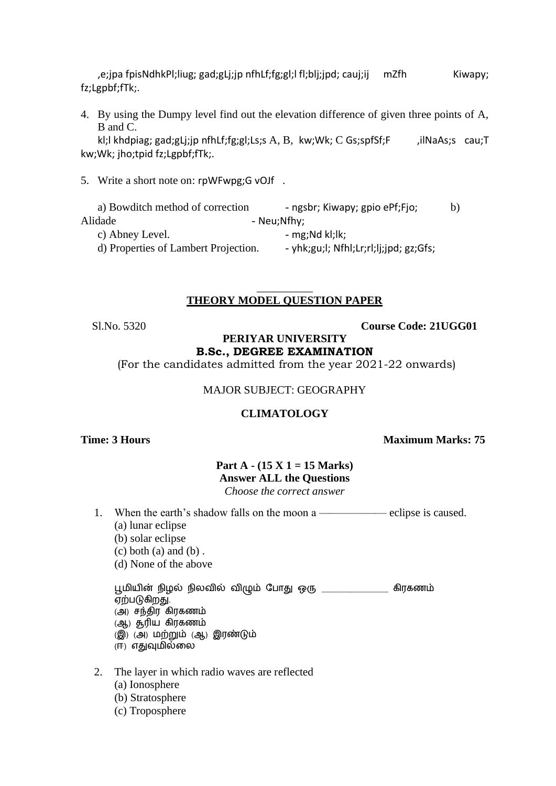,e;jpa fpisNdhkPl;liug; gad;gLj;jp nfhLf;fg;gl;l fl;blj;jpd; cauj;ij mZfh Kiwapy; fz;Lgpbf;fTk;.

4. By using the Dumpy level find out the elevation difference of given three points of A, B and C.

kl;l khdpiag; gad;gLj;jp nfhLf;fg;gl;Ls;s A, B, kw;Wk; C Gs;spfSf;F , ilNaAs;s cau;T kw;Wk; jho;tpid fz;Lgpbf;fTk;.

5. Write a short note on: rpWFwpg;G vOJf .

| a) Bowditch method of correction     | - ngsbr; Kiwapy; gpio ePf;Fjo;         | b) |
|--------------------------------------|----------------------------------------|----|
| Alidade                              | - Neu;Nfhy;                            |    |
| c) Abney Level.                      | - $mg;Nd kl;lk;$                       |    |
| d) Properties of Lambert Projection. | - yhk;gu;l; Nfhl;Lr;rl;lj;jpd; gz;Gfs; |    |

#### \_\_\_\_\_\_\_\_\_\_ **THEORY MODEL QUESTION PAPER**

Sl.No. 5320 **Course Code: 21UGG01**

#### **PERIYAR UNIVERSITY B.Sc., DEGREE EXAMINATION**

(For the candidates admitted from the year 2021-22 onwards)

MAJOR SUBJECT: GEOGRAPHY

#### **CLIMATOLOGY**

**Time: 3 Hours Maximum Marks: 75** 

#### **Part A - (15 X 1 = 15 Marks) Answer ALL the Questions** *Choose the correct answer*

- 1. When the earth's shadow falls on the moon a ——————————— eclipse is caused.
	- (a) lunar eclipse
	- (b) solar eclipse
	- $(c)$  both  $(a)$  and  $(b)$ .
	- (d) None of the above

பூமியின் நிழல் நிலவில் விழும் போது ஒரு \_\_\_\_\_\_\_\_\_\_\_\_\_\_\_ கிரகணம் ஏற்படுகிறது. (அ) சந்திர கிரகணம் (ஆ) சூரிய கிரகணம் (இ) (அ) மற்றும் (ஆ) இரண்டும்

- (ஈ) எதுவுமில்லல
- 2. The layer in which radio waves are reflected
	- (a) Ionosphere
	- (b) Stratosphere
	- (c) Troposphere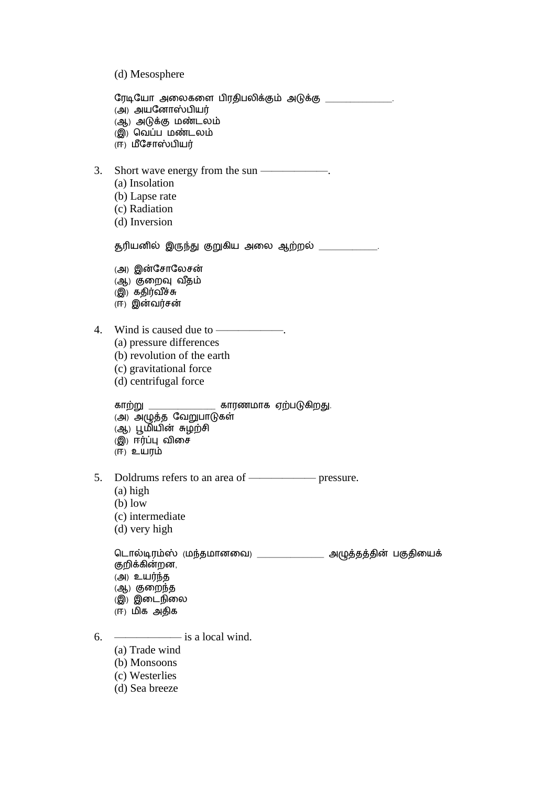(d) Mesosphere

பரடிபயோ அலலகலை ிரதி லிக்கும் அடுக்கு \_\_\_\_\_\_\_\_\_\_\_\_\_\_\_\_. *(அ*) அயனோஸ்பியர் (ஆ) அடுக்கு மண்டலம் (இ) வெப்ப மண்டலம் (ஈ) மீசோஸ்பியர் 3. Short wave energy from the sun ——————. (a) Insolation (b) Lapse rate (c) Radiation (d) Inversion சூரிய ில் இருந்து குறுகிய அலல ஆற்றல் \_\_\_\_\_\_\_\_\_\_\_\_\_\_. (அ) இன்பசோபலசன் (ஆ) குறைவு வீதம் (இ) கதிர்வீச்சு (ஈ) இன்வர்சன் 4. Wind is caused due to ——————. (a) pressure differences (b) revolution of the earth (c) gravitational force (d) centrifugal force கோற்று \_\_\_\_\_\_\_\_\_\_\_\_\_\_\_\_ கோரணமோக ஏற் டுகிறது. (அ) அழுத்த வேறுபாடுகள் (ஆ) பூமியின் சுழற்சி (இ) ஈர்ப்பு விலச (ஈ) உயரம் 5. Doldrums refers to an area of —————— pressure. (a) high (b) low (c) intermediate (d) very high டொல்டிரம்ஸ் (மந்தமானவை) \_\_\_\_\_\_\_\_\_\_\_\_\_\_\_\_\_ அழுத்தத்தின் பகுதியைக் குறிக்கின்றன. (அ) உயர்ந்த (ஆ) குலறந்த (இ) இலடநிலல (ஈ) மிக அதிக  $6. \quad \frac{\text{S}}{\text{S}}$  is a local wind. (a) Trade wind (b) Monsoons (c) Westerlies

(d) Sea breeze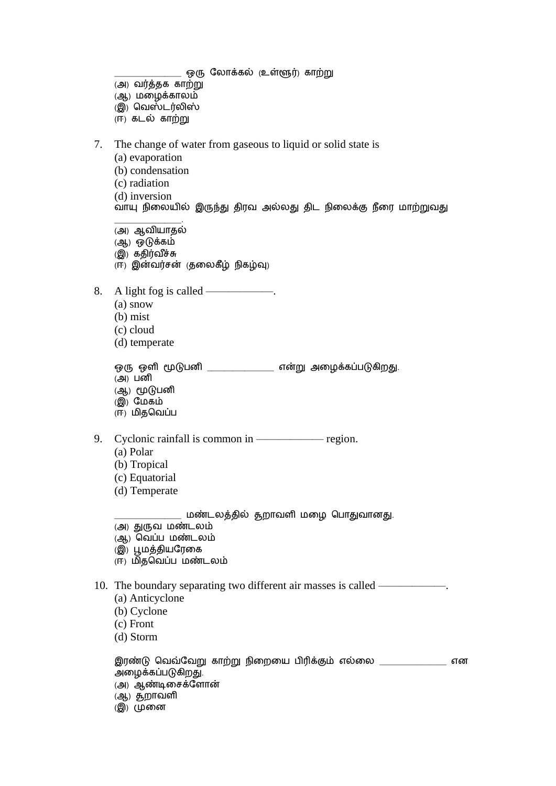$\_$  ஒரு லோக்கல் (உள்ளூர்) காற்று

- (அ) வர்த்தக கோற்று
- (ஆ) மலழக்கோலம்
- (இ) வவஸ்டர்லிஸ்
- (ஈ) கடல் கோற்று
- 7. The change of water from gaseous to liquid or solid state is
	- (a) evaporation
	- (b) condensation
	- (c) radiation
	- (d) inversion
	- வோயு நிலலயில் இருந்து திரவ அல்லது திட நிலலக்கு நீலர மோற்றுவது
	- \_\_\_\_\_\_\_\_\_\_\_\_\_\_\_\_. (அ) ஆவியோதல்
	- (ஆ) ஒடுக்கம்
	- (இ) கதிர்வ ீச்சு
	- (ஈ) இன்வர்சன் (தலலகீழ் நிகழ்வு)
- 8. A light fog is called ——————.
	- (a) snow
	- (b) mist
	- (c) cloud
	- (d) temperate

| ஒரு ஒளி மூடுபனி | என்று அழைக்கப்படுகிறது. |
|-----------------|-------------------------|
| (அ)⊔னி          |                         |

- (ஆ) மூடுபனி
- (இ) பமகம்
- (ஈ) மிதவவப்
- 9. Cyclonic rainfall is common in —————— region.
	- (a) Polar
	- (b) Tropical
	- (c) Equatorial
	- (d) Temperate

மண்டலத்தில் தூறாவளி மழை பொதுவானது.

- (அ) துருவ மண்டலம்
- (ஆ) வெப்ப மண்டலம்
- (இ) பூமத்தியபரலக
- (ஈ) மிதவெப்ப மண்டலம்

10. The boundary separating two different air masses is called ——

- (a) Anticyclone
- (b) Cyclone
- (c) Front
- (d) Storm

| இரண்டு வெவ்வேறு காற்று நிறையை பிரிக்கும் எல்லை | என |
|------------------------------------------------|----|
| அழைக்கப்படுகிறது.                              |    |
| (அ) ஆண்டிசைக்ளோன்                              |    |
| (ஆ) தறாவளி                                     |    |
| இ) முனை                                        |    |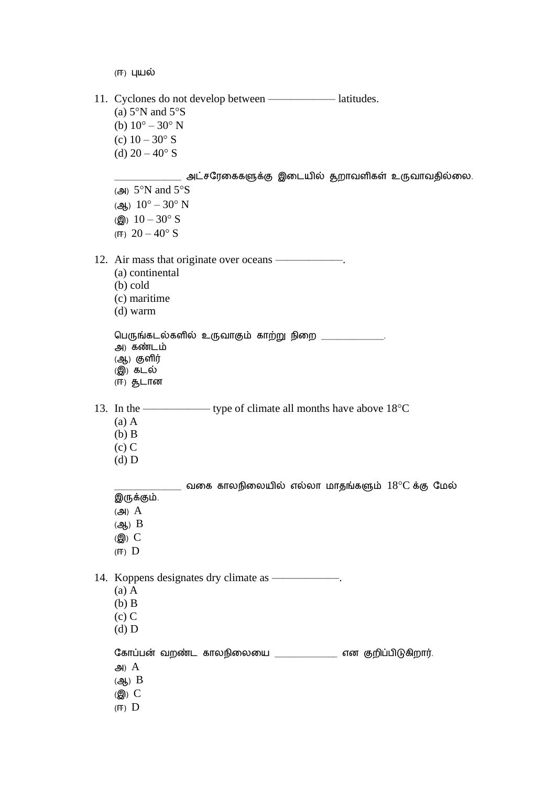(ஈ) புயல் 11. Cyclones do not develop between ——————— latitudes. (a)  $5^\circ$ N and  $5^\circ$ S (b)  $10^{\circ} - 30^{\circ}$  N (c)  $10 - 30^{\circ}$  S (d)  $20 - 40^{\circ}$  S  $\_$  அட்சரேகைகளுக்கு இடையில் தூராவளிகள் உருவாவதில்லை. ( $\triangleleft$ ) 5°N and 5°S (ஆ)  $10^{\circ} - 30^{\circ}$  N (இ)  $10 - 30$ ° S (ஈ)  $20 - 40$ ° S 12. Air mass that originate over oceans ——————. (a) continental (b) cold (c) maritime (d) warm பெருங்கடல்களில் உருவாகும் காற்று நிறை  $\_$ அ) கண்டம் (ஆ) குளிர் (இ) கடல் (ஈ) சூடோ 13. In the —————— type of climate all months have above 18C (a) A (b) B  $(c)$  C (d) D  $\mu_{\rm max}$  வகை காலநிலையில் எல்லா மாதங்களும்  $18^\circ\mathrm{C}$  க்கு மேல் இருக்கும்.  $(A)$   $A$ (ஆ) B  $($  $)$  $C$ (ஈ) D 14. Koppens designates dry climate as ——————. (a) A (b) B (c) C (d) D கோப்பன் வறண்ட காலநிலையை \_\_\_\_\_\_\_\_\_\_\_\_\_\_ என குறிப்பிடுகிறார். அ $A$ (ஆ) B (இ) C (ஈ) D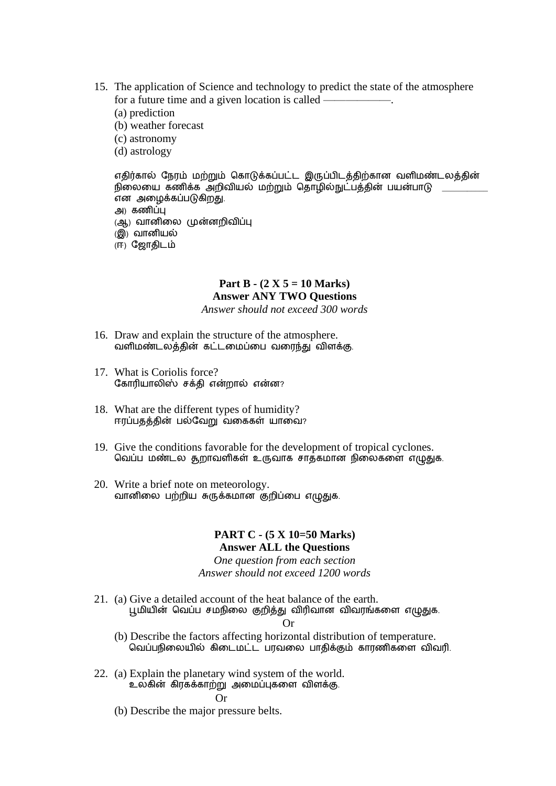- 15. The application of Science and technology to predict the state of the atmosphere for a future time and a given location is called ——————.
	- (a) prediction
	- (b) weather forecast
	- (c) astronomy
	- (d) astrology

```
எதிர்கால் நேரம் மற்றும் கொடுக்கப்பட்ட இருப்பிடத்திற்கான வளிமண்டலத்தின்
நிலையை கணிக்க அறிவியல் மற்றும் தொழில்நுட்பத்தின் பயன்பாடு
என அழைக்கப்படுகிறது.
அ) கணிப்பு
(ஆ) வானிலை முன்னறிவிப்பு
(இ) வானியல்
(ஈ) ஜோதிடம்
```
#### **Part B - (2 X 5 = 10 Marks) Answer ANY TWO Questions**

*Answer should not exceed 300 words*

- 16. Draw and explain the structure of the atmosphere. வளிமண்டலத்தின் கட்டமைப்பை வரைந்து விளக்கு.
- 17. What is Coriolis force? கோரியாலிஸ் சக்தி என்றால் என்ன?
- 18. What are the different types of humidity? ஈரப்பதத்தின் பல்வேறு வகைகள் யாவை?
- 19. Give the conditions favorable for the development of tropical cyclones. வெப்ப மண்டல தூராவளிகள் உருவாக சாத்கமான நிலைகளை எழுதுக.
- 20. Write a brief note on meteorology. வானிலை பற்றிய சுருக்கமான குறிப்பை எழுதுக.

#### **PART C - (5 X 10=50 Marks) Answer ALL the Questions**

*One question from each section Answer should not exceed 1200 words*

21. (a) Give a detailed account of the heat balance of the earth. பூமியின் வெப்ப சமநிலை குறித்து விரிவான விவரங்களை எழுதுக.

Or

- (b) Describe the factors affecting horizontal distribution of temperature. வவப் நிலலயில் கிலடமட்ட ரவலல ோதிக்கும் கோரணிகலை விவரி.
- 22. (a) Explain the planetary wind system of the world. உலகின் கிரகக்கோற்று அலமப்புகலை விைக்கு. Or
	- (b) Describe the major pressure belts.